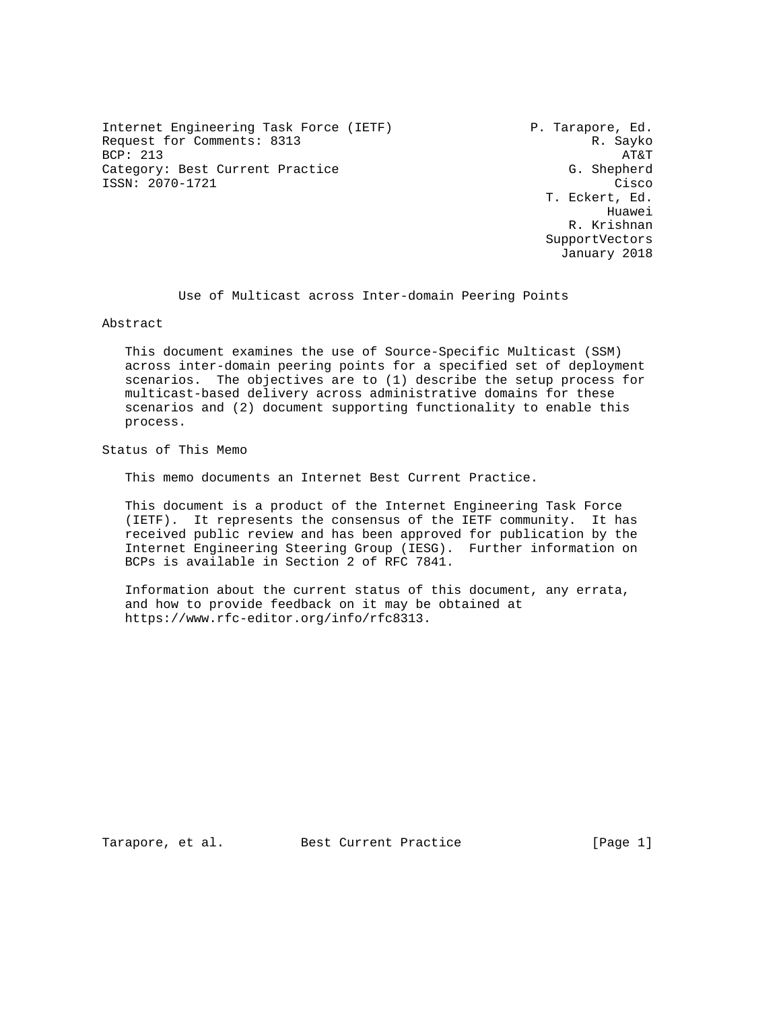Internet Engineering Task Force (IETF) P. Tarapore, Ed. Request for Comments: 8313 R. Sayko BCP: 213 AT&T Category: Best Current Practice ISSN: 2070-1721 Cisco

 T. Eckert, Ed. Huawei R. Krishnan SupportVectors January 2018

Use of Multicast across Inter-domain Peering Points

Abstract

 This document examines the use of Source-Specific Multicast (SSM) across inter-domain peering points for a specified set of deployment scenarios. The objectives are to (1) describe the setup process for multicast-based delivery across administrative domains for these scenarios and (2) document supporting functionality to enable this process.

Status of This Memo

This memo documents an Internet Best Current Practice.

 This document is a product of the Internet Engineering Task Force (IETF). It represents the consensus of the IETF community. It has received public review and has been approved for publication by the Internet Engineering Steering Group (IESG). Further information on BCPs is available in Section 2 of RFC 7841.

 Information about the current status of this document, any errata, and how to provide feedback on it may be obtained at https://www.rfc-editor.org/info/rfc8313.

Tarapore, et al. Best Current Practice [Page 1]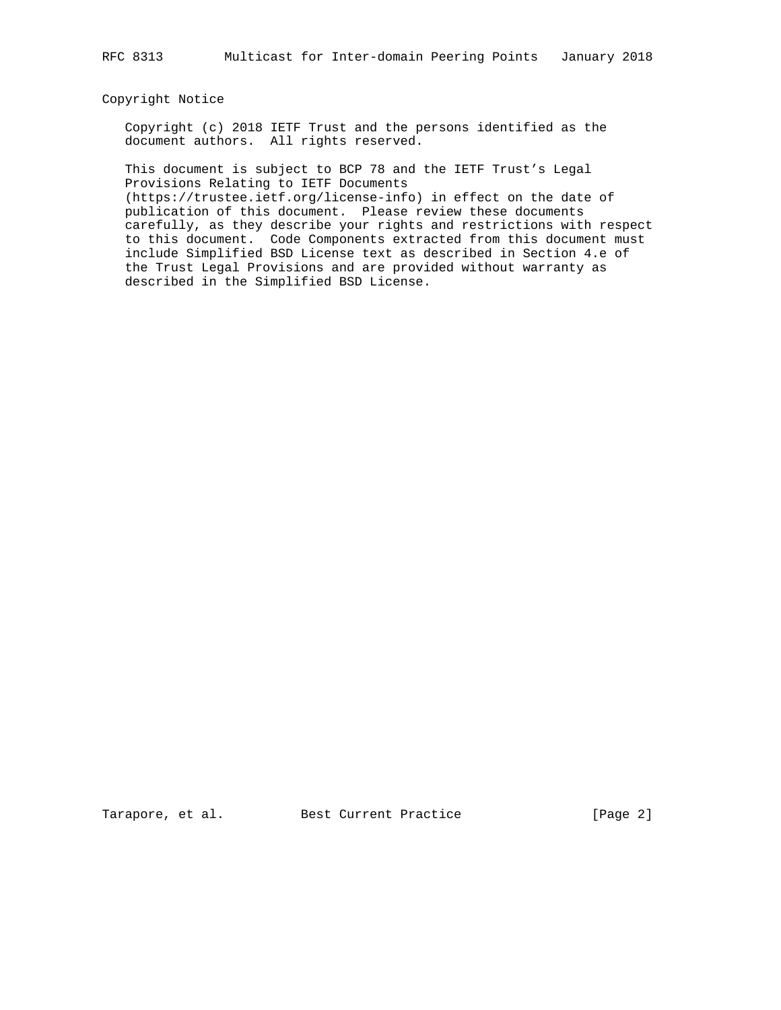### Copyright Notice

 Copyright (c) 2018 IETF Trust and the persons identified as the document authors. All rights reserved.

 This document is subject to BCP 78 and the IETF Trust's Legal Provisions Relating to IETF Documents

 (https://trustee.ietf.org/license-info) in effect on the date of publication of this document. Please review these documents carefully, as they describe your rights and restrictions with respect to this document. Code Components extracted from this document must include Simplified BSD License text as described in Section 4.e of the Trust Legal Provisions and are provided without warranty as described in the Simplified BSD License.

Tarapore, et al. Best Current Practice [Page 2]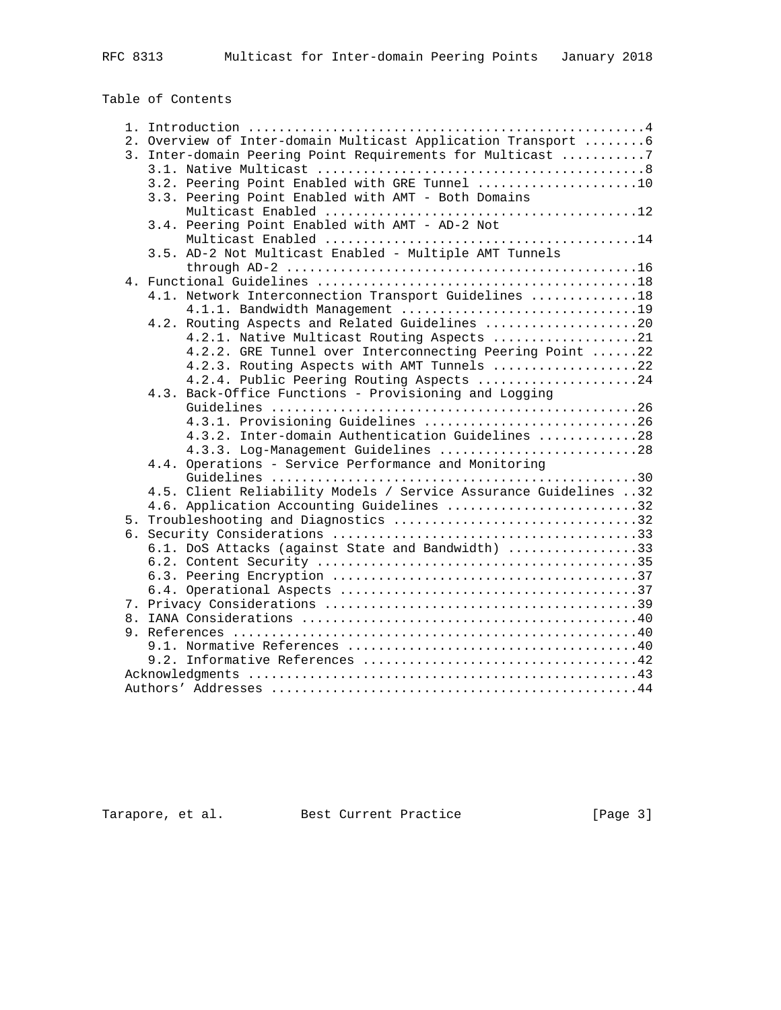# Table of Contents

|  | 2. Overview of Inter-domain Multicast Application Transport  6                                       |  |
|--|------------------------------------------------------------------------------------------------------|--|
|  | 3. Inter-domain Peering Point Requirements for Multicast 7                                           |  |
|  |                                                                                                      |  |
|  | 3.2. Peering Point Enabled with GRE Tunnel 10                                                        |  |
|  | 3.3. Peering Point Enabled with AMT - Both Domains                                                   |  |
|  |                                                                                                      |  |
|  | 3.4. Peering Point Enabled with AMT - AD-2 Not                                                       |  |
|  |                                                                                                      |  |
|  | 3.5. AD-2 Not Multicast Enabled - Multiple AMT Tunnels                                               |  |
|  | through AD-2 $\dots\dots\dots\dots\dots\dots\dots\dots\dots\dots\dots\dots\dots\dots\dots\dots\dots$ |  |
|  |                                                                                                      |  |
|  | 4.1. Network Interconnection Transport Guidelines 18                                                 |  |
|  | 4.1.1. Bandwidth Management 19                                                                       |  |
|  | 4.2. Routing Aspects and Related Guidelines 20                                                       |  |
|  | 4.2.1. Native Multicast Routing Aspects 21                                                           |  |
|  | 4.2.2. GRE Tunnel over Interconnecting Peering Point 22                                              |  |
|  | 4.2.3. Routing Aspects with AMT Tunnels 22                                                           |  |
|  | 4.2.4. Public Peering Routing Aspects 24                                                             |  |
|  | 4.3. Back-Office Functions - Provisioning and Logging                                                |  |
|  |                                                                                                      |  |
|  | 4.3.1. Provisioning Guidelines 26                                                                    |  |
|  | 4.3.2. Inter-domain Authentication Guidelines 28                                                     |  |
|  | 4.3.3. Log-Management Guidelines 28                                                                  |  |
|  | 4.4. Operations - Service Performance and Monitoring                                                 |  |
|  |                                                                                                      |  |
|  | 4.5. Client Reliability Models / Service Assurance Guidelines 32                                     |  |
|  | 4.6. Application Accounting Guidelines 32                                                            |  |
|  | 5. Troubleshooting and Diagnostics 32                                                                |  |
|  |                                                                                                      |  |
|  | 6.1. DoS Attacks (against State and Bandwidth) 33                                                    |  |
|  |                                                                                                      |  |
|  |                                                                                                      |  |
|  |                                                                                                      |  |
|  |                                                                                                      |  |
|  |                                                                                                      |  |
|  |                                                                                                      |  |
|  |                                                                                                      |  |
|  |                                                                                                      |  |
|  |                                                                                                      |  |
|  |                                                                                                      |  |

Tarapore, et al. Best Current Practice [Page 3]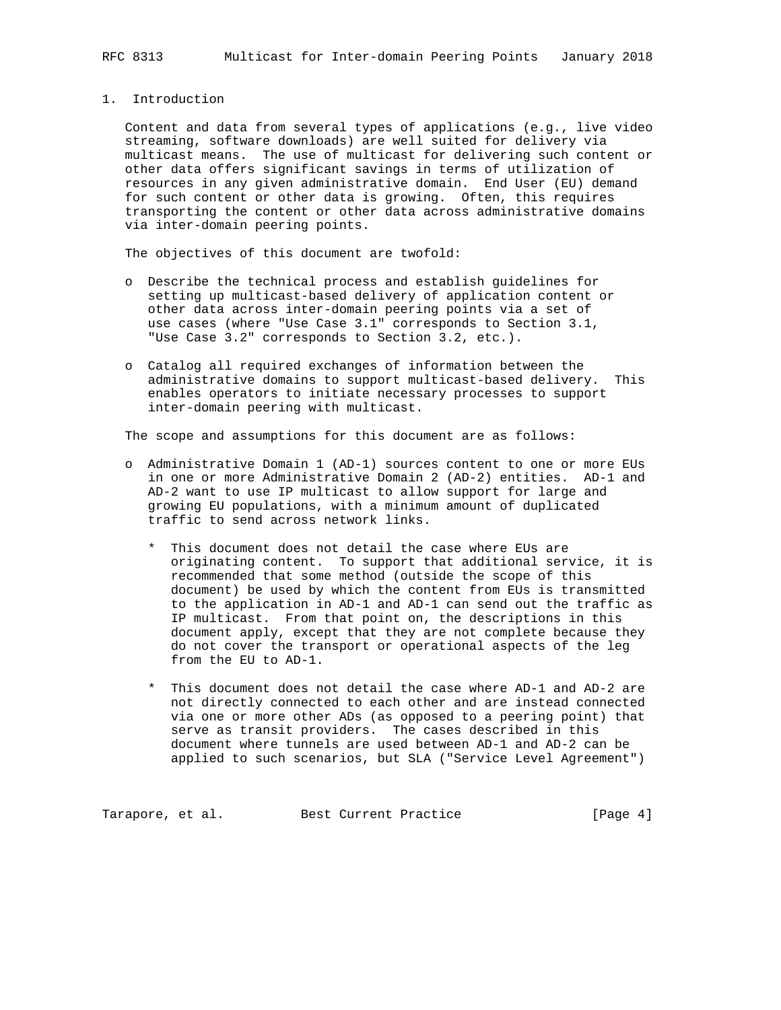### 1. Introduction

 Content and data from several types of applications (e.g., live video streaming, software downloads) are well suited for delivery via multicast means. The use of multicast for delivering such content or other data offers significant savings in terms of utilization of resources in any given administrative domain. End User (EU) demand for such content or other data is growing. Often, this requires transporting the content or other data across administrative domains via inter-domain peering points.

The objectives of this document are twofold:

- o Describe the technical process and establish guidelines for setting up multicast-based delivery of application content or other data across inter-domain peering points via a set of use cases (where "Use Case 3.1" corresponds to Section 3.1, "Use Case 3.2" corresponds to Section 3.2, etc.).
- o Catalog all required exchanges of information between the administrative domains to support multicast-based delivery. This enables operators to initiate necessary processes to support inter-domain peering with multicast.

The scope and assumptions for this document are as follows:

- o Administrative Domain 1 (AD-1) sources content to one or more EUs in one or more Administrative Domain 2 (AD-2) entities. AD-1 and AD-2 want to use IP multicast to allow support for large and growing EU populations, with a minimum amount of duplicated traffic to send across network links.
	- \* This document does not detail the case where EUs are originating content. To support that additional service, it is recommended that some method (outside the scope of this document) be used by which the content from EUs is transmitted to the application in AD-1 and AD-1 can send out the traffic as IP multicast. From that point on, the descriptions in this document apply, except that they are not complete because they do not cover the transport or operational aspects of the leg from the EU to AD-1.
	- \* This document does not detail the case where AD-1 and AD-2 are not directly connected to each other and are instead connected via one or more other ADs (as opposed to a peering point) that serve as transit providers. The cases described in this document where tunnels are used between AD-1 and AD-2 can be applied to such scenarios, but SLA ("Service Level Agreement")

Tarapore, et al. Best Current Practice [Page 4]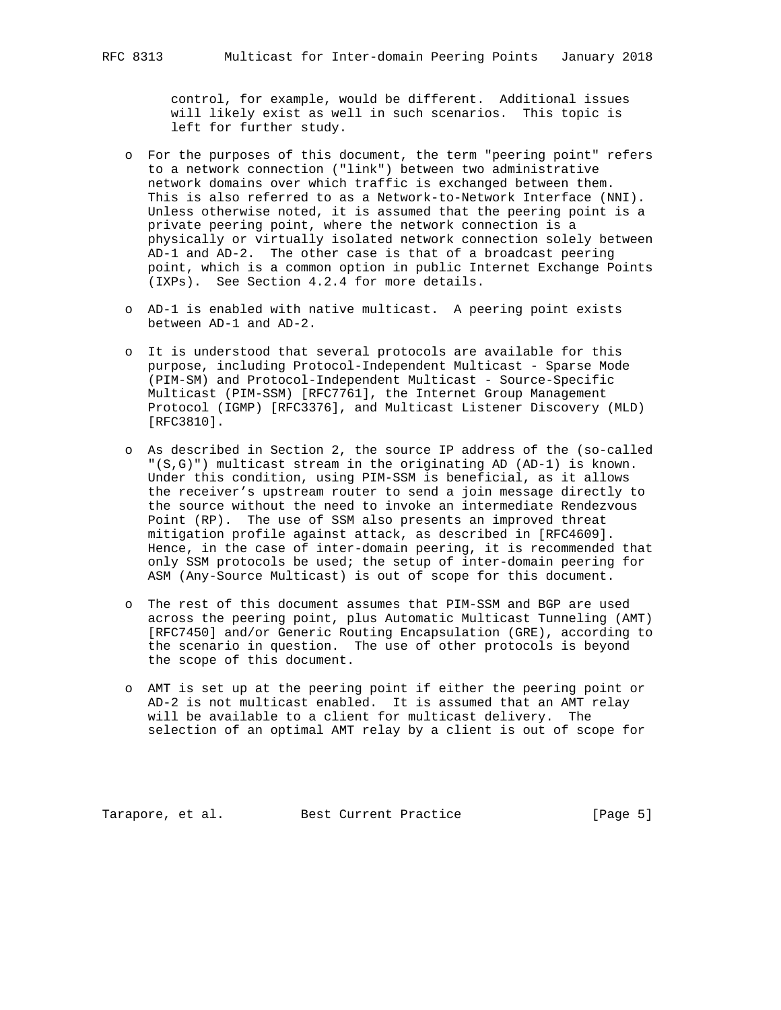control, for example, would be different. Additional issues will likely exist as well in such scenarios. This topic is left for further study.

- o For the purposes of this document, the term "peering point" refers to a network connection ("link") between two administrative network domains over which traffic is exchanged between them. This is also referred to as a Network-to-Network Interface (NNI). Unless otherwise noted, it is assumed that the peering point is a private peering point, where the network connection is a physically or virtually isolated network connection solely between AD-1 and AD-2. The other case is that of a broadcast peering point, which is a common option in public Internet Exchange Points (IXPs). See Section 4.2.4 for more details.
- o AD-1 is enabled with native multicast. A peering point exists between AD-1 and AD-2.
- o It is understood that several protocols are available for this purpose, including Protocol-Independent Multicast - Sparse Mode (PIM-SM) and Protocol-Independent Multicast - Source-Specific Multicast (PIM-SSM) [RFC7761], the Internet Group Management Protocol (IGMP) [RFC3376], and Multicast Listener Discovery (MLD) [RFC3810].
- o As described in Section 2, the source IP address of the (so-called "(S,G)") multicast stream in the originating AD (AD-1) is known. Under this condition, using PIM-SSM is beneficial, as it allows the receiver's upstream router to send a join message directly to the source without the need to invoke an intermediate Rendezvous Point (RP). The use of SSM also presents an improved threat mitigation profile against attack, as described in [RFC4609]. Hence, in the case of inter-domain peering, it is recommended that only SSM protocols be used; the setup of inter-domain peering for ASM (Any-Source Multicast) is out of scope for this document.
- o The rest of this document assumes that PIM-SSM and BGP are used across the peering point, plus Automatic Multicast Tunneling (AMT) [RFC7450] and/or Generic Routing Encapsulation (GRE), according to the scenario in question. The use of other protocols is beyond the scope of this document.
- o AMT is set up at the peering point if either the peering point or AD-2 is not multicast enabled. It is assumed that an AMT relay will be available to a client for multicast delivery. The selection of an optimal AMT relay by a client is out of scope for

Tarapore, et al. Best Current Practice [Page 5]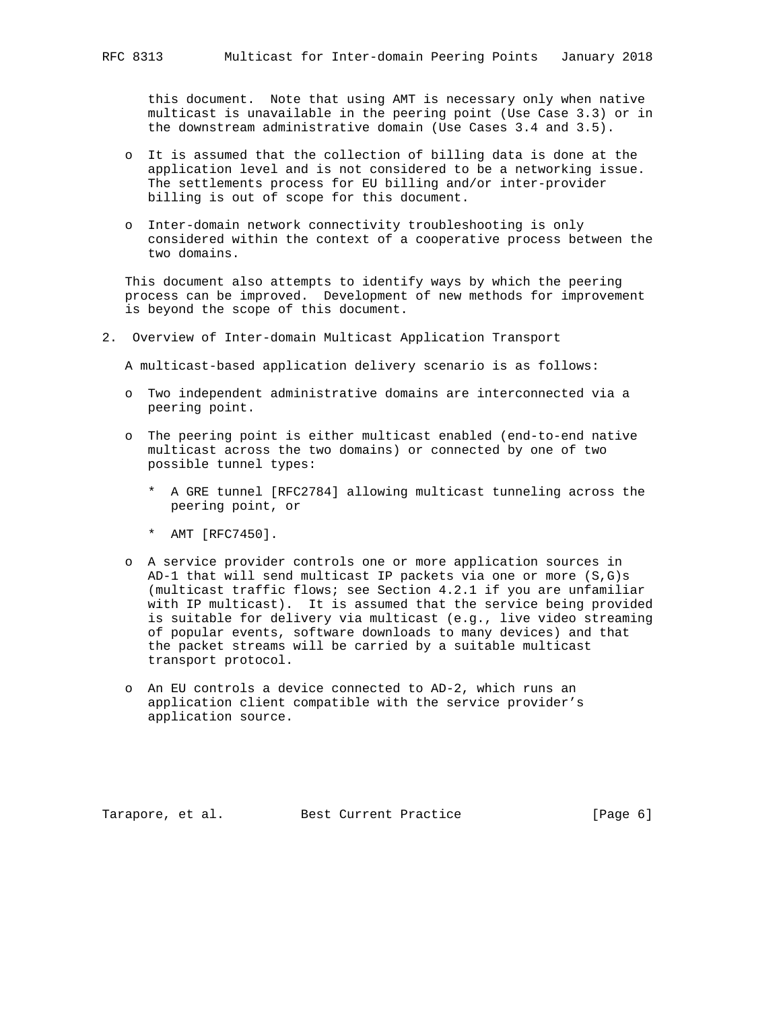this document. Note that using AMT is necessary only when native multicast is unavailable in the peering point (Use Case 3.3) or in the downstream administrative domain (Use Cases 3.4 and 3.5).

- o It is assumed that the collection of billing data is done at the application level and is not considered to be a networking issue. The settlements process for EU billing and/or inter-provider billing is out of scope for this document.
- o Inter-domain network connectivity troubleshooting is only considered within the context of a cooperative process between the two domains.

 This document also attempts to identify ways by which the peering process can be improved. Development of new methods for improvement is beyond the scope of this document.

2. Overview of Inter-domain Multicast Application Transport

A multicast-based application delivery scenario is as follows:

- o Two independent administrative domains are interconnected via a peering point.
- o The peering point is either multicast enabled (end-to-end native multicast across the two domains) or connected by one of two possible tunnel types:
	- \* A GRE tunnel [RFC2784] allowing multicast tunneling across the peering point, or
	- \* AMT [RFC7450].
- o A service provider controls one or more application sources in AD-1 that will send multicast IP packets via one or more  $(S,G)$ s (multicast traffic flows; see Section 4.2.1 if you are unfamiliar with IP multicast). It is assumed that the service being provided is suitable for delivery via multicast (e.g., live video streaming of popular events, software downloads to many devices) and that the packet streams will be carried by a suitable multicast transport protocol.
- o An EU controls a device connected to AD-2, which runs an application client compatible with the service provider's application source.

Tarapore, et al. Best Current Practice [Page 6]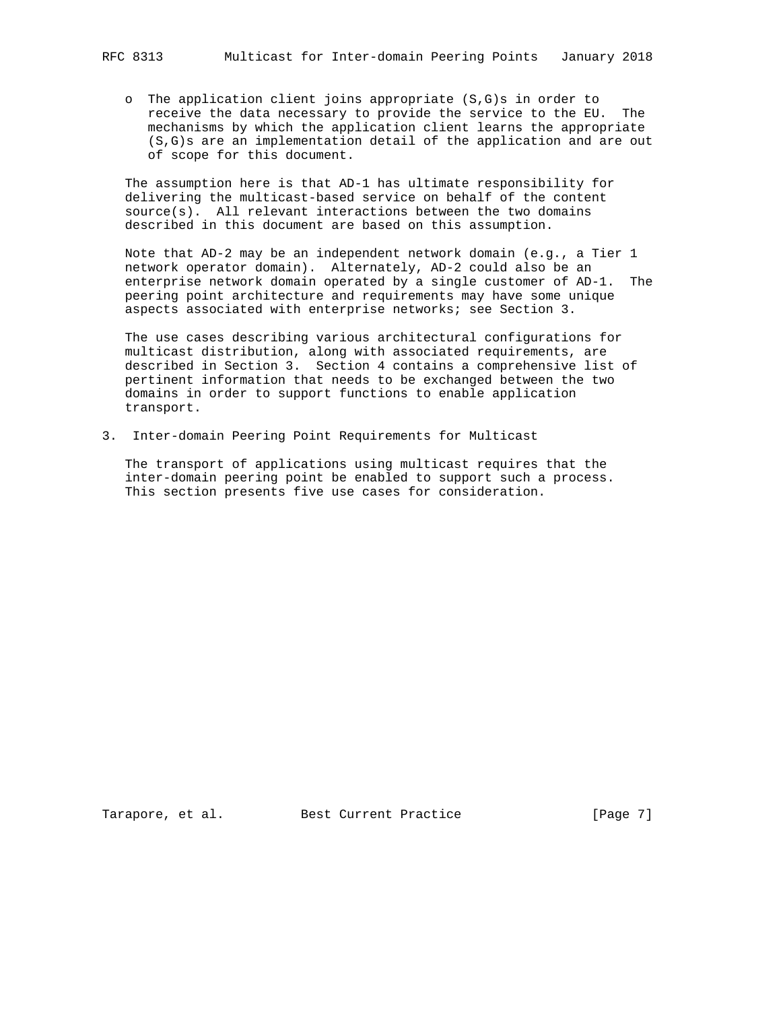o The application client joins appropriate (S,G)s in order to receive the data necessary to provide the service to the EU. The mechanisms by which the application client learns the appropriate (S,G)s are an implementation detail of the application and are out of scope for this document.

 The assumption here is that AD-1 has ultimate responsibility for delivering the multicast-based service on behalf of the content  $source(s)$ . All relevant interactions between the two domains described in this document are based on this assumption.

 Note that AD-2 may be an independent network domain (e.g., a Tier 1 network operator domain). Alternately, AD-2 could also be an enterprise network domain operated by a single customer of AD-1. The peering point architecture and requirements may have some unique aspects associated with enterprise networks; see Section 3.

 The use cases describing various architectural configurations for multicast distribution, along with associated requirements, are described in Section 3. Section 4 contains a comprehensive list of pertinent information that needs to be exchanged between the two domains in order to support functions to enable application transport.

3. Inter-domain Peering Point Requirements for Multicast

 The transport of applications using multicast requires that the inter-domain peering point be enabled to support such a process. This section presents five use cases for consideration.

Tarapore, et al. Best Current Practice [Page 7]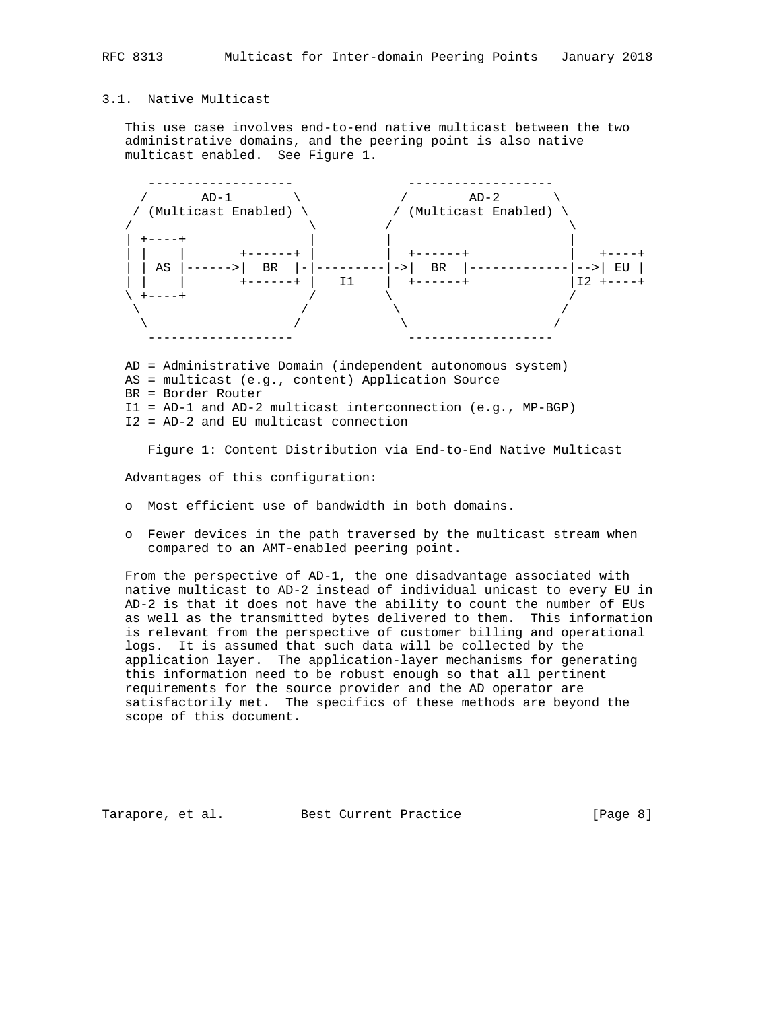# 3.1. Native Multicast

 This use case involves end-to-end native multicast between the two administrative domains, and the peering point is also native multicast enabled. See Figure 1.



 AS = multicast (e.g., content) Application Source BR = Border Router I1 = AD-1 and AD-2 multicast interconnection (e.g., MP-BGP) I2 = AD-2 and EU multicast connection

Figure 1: Content Distribution via End-to-End Native Multicast

Advantages of this configuration:

- o Most efficient use of bandwidth in both domains.
- o Fewer devices in the path traversed by the multicast stream when compared to an AMT-enabled peering point.

 From the perspective of AD-1, the one disadvantage associated with native multicast to AD-2 instead of individual unicast to every EU in AD-2 is that it does not have the ability to count the number of EUs as well as the transmitted bytes delivered to them. This information is relevant from the perspective of customer billing and operational logs. It is assumed that such data will be collected by the application layer. The application-layer mechanisms for generating this information need to be robust enough so that all pertinent requirements for the source provider and the AD operator are satisfactorily met. The specifics of these methods are beyond the scope of this document.

Tarapore, et al. Best Current Practice [Page 8]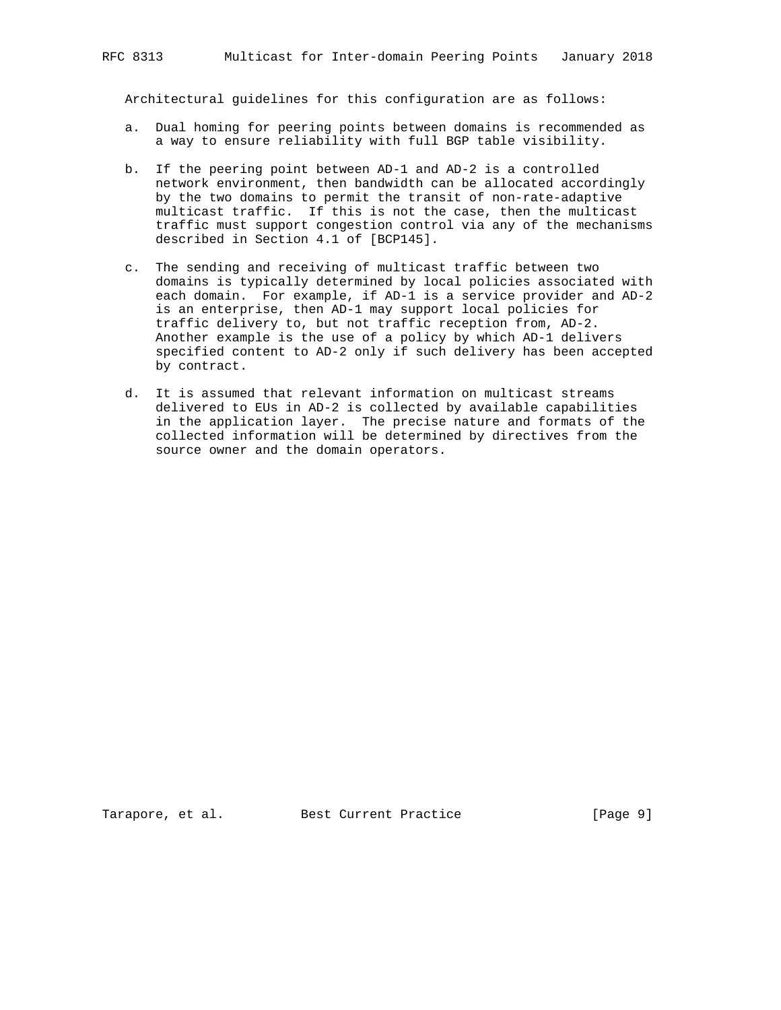Architectural guidelines for this configuration are as follows:

- a. Dual homing for peering points between domains is recommended as a way to ensure reliability with full BGP table visibility.
- b. If the peering point between AD-1 and AD-2 is a controlled network environment, then bandwidth can be allocated accordingly by the two domains to permit the transit of non-rate-adaptive multicast traffic. If this is not the case, then the multicast traffic must support congestion control via any of the mechanisms described in Section 4.1 of [BCP145].
- c. The sending and receiving of multicast traffic between two domains is typically determined by local policies associated with each domain. For example, if AD-1 is a service provider and AD-2 is an enterprise, then AD-1 may support local policies for traffic delivery to, but not traffic reception from, AD-2. Another example is the use of a policy by which AD-1 delivers specified content to AD-2 only if such delivery has been accepted by contract.
- d. It is assumed that relevant information on multicast streams delivered to EUs in AD-2 is collected by available capabilities in the application layer. The precise nature and formats of the collected information will be determined by directives from the source owner and the domain operators.

Tarapore, et al. Best Current Practice [Page 9]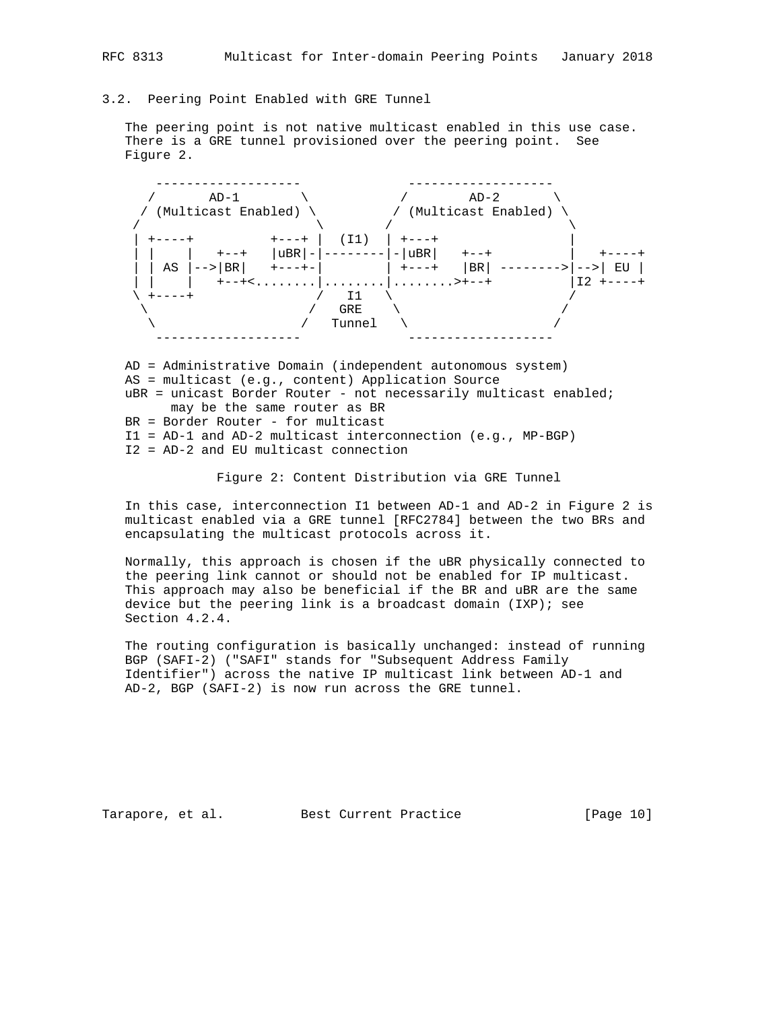### 3.2. Peering Point Enabled with GRE Tunnel

 The peering point is not native multicast enabled in this use case. There is a GRE tunnel provisioned over the peering point. See Figure 2.



 AD = Administrative Domain (independent autonomous system) AS = multicast (e.g., content) Application Source uBR = unicast Border Router - not necessarily multicast enabled; may be the same router as BR BR = Border Router - for multicast I1 = AD-1 and AD-2 multicast interconnection (e.g., MP-BGP)

I2 = AD-2 and EU multicast connection

Figure 2: Content Distribution via GRE Tunnel

 In this case, interconnection I1 between AD-1 and AD-2 in Figure 2 is multicast enabled via a GRE tunnel [RFC2784] between the two BRs and encapsulating the multicast protocols across it.

 Normally, this approach is chosen if the uBR physically connected to the peering link cannot or should not be enabled for IP multicast. This approach may also be beneficial if the BR and uBR are the same device but the peering link is a broadcast domain (IXP); see Section 4.2.4.

 The routing configuration is basically unchanged: instead of running BGP (SAFI-2) ("SAFI" stands for "Subsequent Address Family Identifier") across the native IP multicast link between AD-1 and AD-2, BGP (SAFI-2) is now run across the GRE tunnel.

Tarapore, et al. Best Current Practice [Page 10]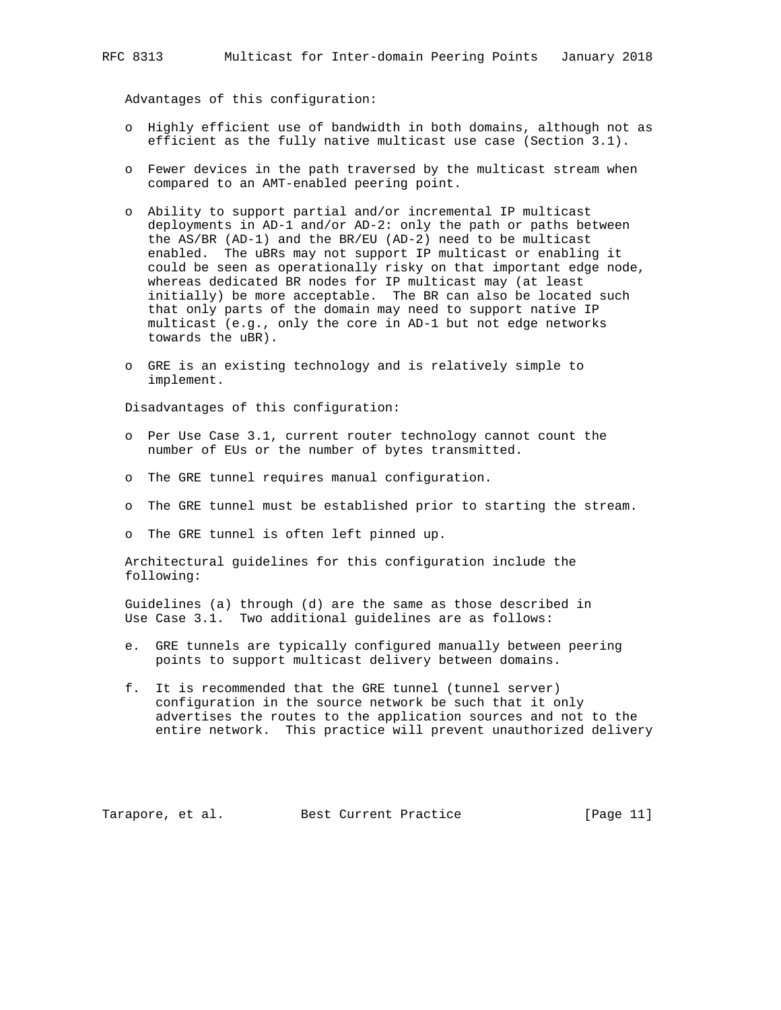Advantages of this configuration:

- o Highly efficient use of bandwidth in both domains, although not as efficient as the fully native multicast use case (Section 3.1).
- o Fewer devices in the path traversed by the multicast stream when compared to an AMT-enabled peering point.
- o Ability to support partial and/or incremental IP multicast deployments in AD-1 and/or AD-2: only the path or paths between the AS/BR (AD-1) and the BR/EU (AD-2) need to be multicast enabled. The uBRs may not support IP multicast or enabling it could be seen as operationally risky on that important edge node, whereas dedicated BR nodes for IP multicast may (at least initially) be more acceptable. The BR can also be located such that only parts of the domain may need to support native IP multicast (e.g., only the core in AD-1 but not edge networks towards the uBR).
- o GRE is an existing technology and is relatively simple to implement.

Disadvantages of this configuration:

- o Per Use Case 3.1, current router technology cannot count the number of EUs or the number of bytes transmitted.
- o The GRE tunnel requires manual configuration.
- o The GRE tunnel must be established prior to starting the stream.
- o The GRE tunnel is often left pinned up.

 Architectural guidelines for this configuration include the following:

 Guidelines (a) through (d) are the same as those described in Use Case 3.1. Two additional guidelines are as follows:

- e. GRE tunnels are typically configured manually between peering points to support multicast delivery between domains.
- f. It is recommended that the GRE tunnel (tunnel server) configuration in the source network be such that it only advertises the routes to the application sources and not to the entire network. This practice will prevent unauthorized delivery

Tarapore, et al. Best Current Practice [Page 11]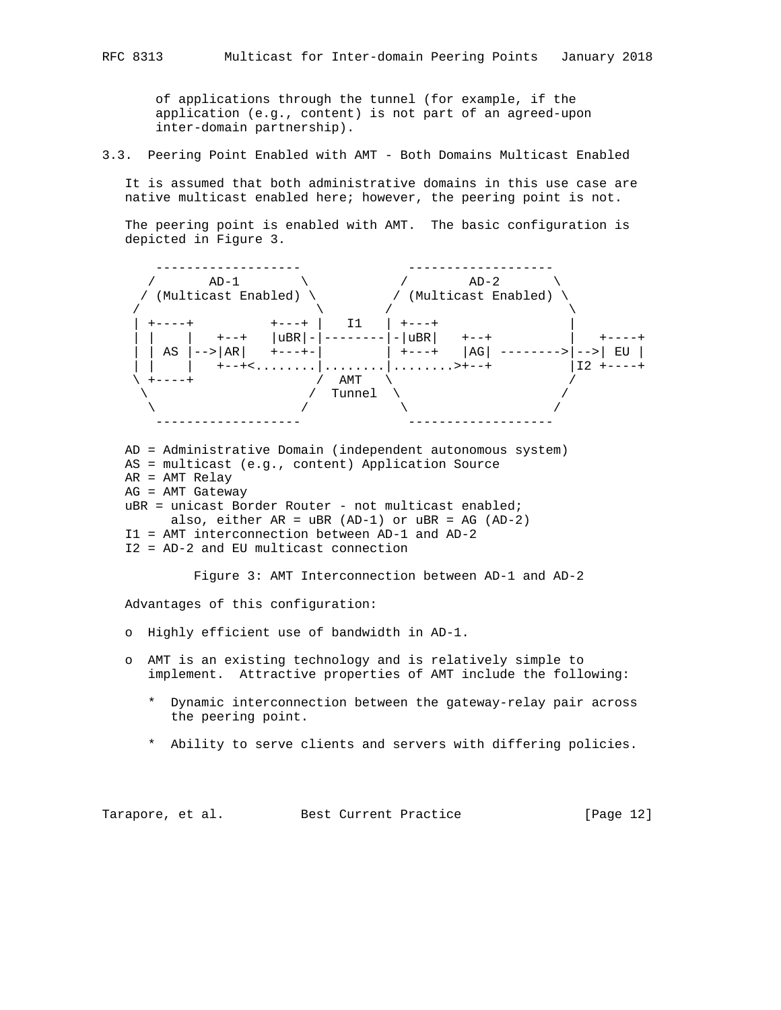of applications through the tunnel (for example, if the application (e.g., content) is not part of an agreed-upon inter-domain partnership).

3.3. Peering Point Enabled with AMT - Both Domains Multicast Enabled

 It is assumed that both administrative domains in this use case are native multicast enabled here; however, the peering point is not.

 The peering point is enabled with AMT. The basic configuration is depicted in Figure 3.



Advantages of this configuration:

- o Highly efficient use of bandwidth in AD-1.
- o AMT is an existing technology and is relatively simple to implement. Attractive properties of AMT include the following:
	- \* Dynamic interconnection between the gateway-relay pair across the peering point.
	- \* Ability to serve clients and servers with differing policies.

Tarapore, et al. Best Current Practice [Page 12]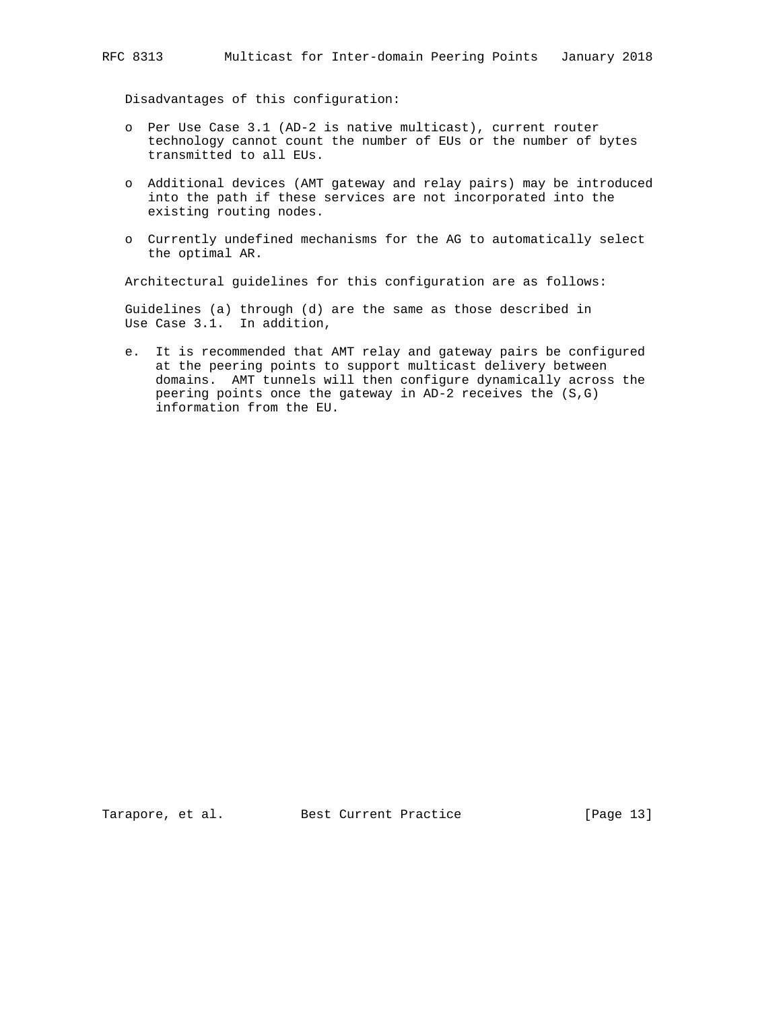Disadvantages of this configuration:

- o Per Use Case 3.1 (AD-2 is native multicast), current router technology cannot count the number of EUs or the number of bytes transmitted to all EUs.
- o Additional devices (AMT gateway and relay pairs) may be introduced into the path if these services are not incorporated into the existing routing nodes.
- o Currently undefined mechanisms for the AG to automatically select the optimal AR.

Architectural guidelines for this configuration are as follows:

 Guidelines (a) through (d) are the same as those described in Use Case 3.1. In addition,

 e. It is recommended that AMT relay and gateway pairs be configured at the peering points to support multicast delivery between domains. AMT tunnels will then configure dynamically across the peering points once the gateway in AD-2 receives the (S,G) information from the EU.

Tarapore, et al. Best Current Practice [Page 13]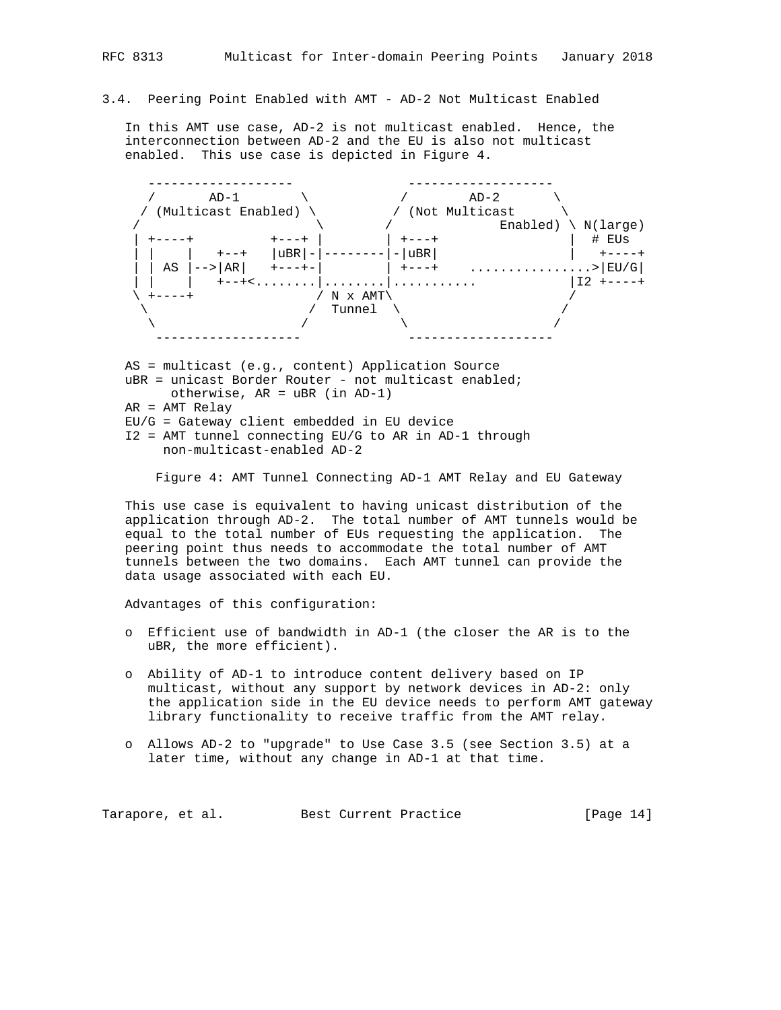# 3.4. Peering Point Enabled with AMT - AD-2 Not Multicast Enabled

 In this AMT use case, AD-2 is not multicast enabled. Hence, the interconnection between AD-2 and the EU is also not multicast enabled. This use case is depicted in Figure 4.



uBR = unicast Border Router - not multicast enabled; otherwise, AR = uBR (in AD-1) AR = AMT Relay

EU/G = Gateway client embedded in EU device

 I2 = AMT tunnel connecting EU/G to AR in AD-1 through non-multicast-enabled AD-2

Figure 4: AMT Tunnel Connecting AD-1 AMT Relay and EU Gateway

 This use case is equivalent to having unicast distribution of the application through AD-2. The total number of AMT tunnels would be equal to the total number of EUs requesting the application. The peering point thus needs to accommodate the total number of AMT tunnels between the two domains. Each AMT tunnel can provide the data usage associated with each EU.

Advantages of this configuration:

- o Efficient use of bandwidth in AD-1 (the closer the AR is to the uBR, the more efficient).
- o Ability of AD-1 to introduce content delivery based on IP multicast, without any support by network devices in AD-2: only the application side in the EU device needs to perform AMT gateway library functionality to receive traffic from the AMT relay.
- o Allows AD-2 to "upgrade" to Use Case 3.5 (see Section 3.5) at a later time, without any change in AD-1 at that time.

Tarapore, et al. Best Current Practice [Page 14]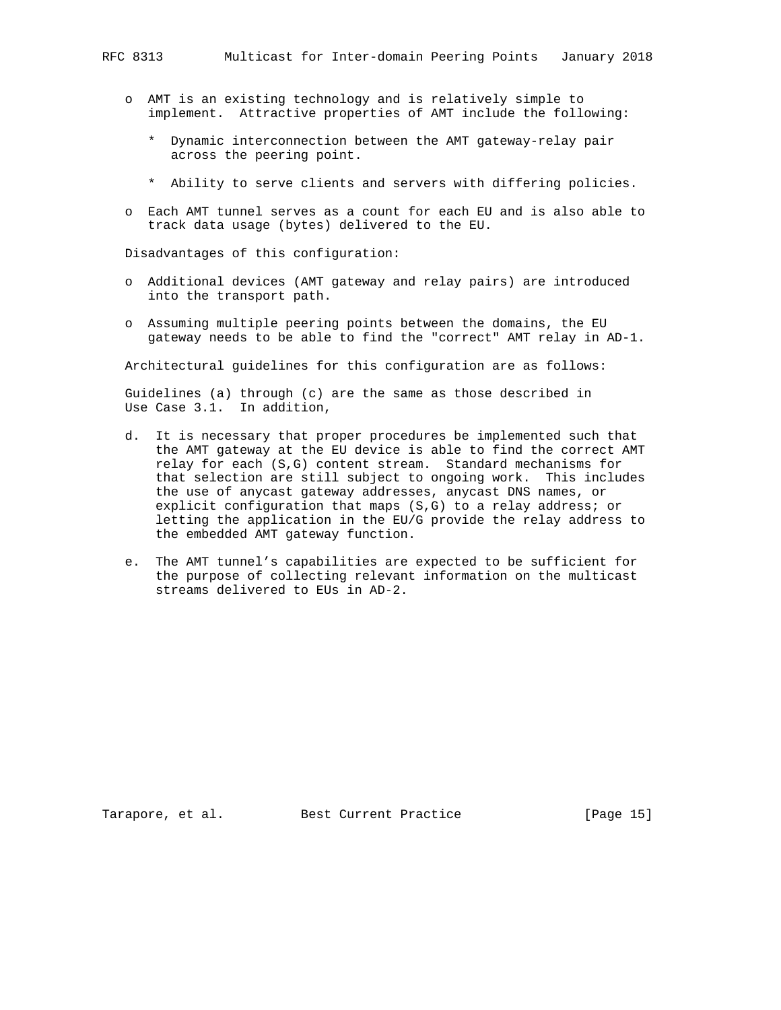- o AMT is an existing technology and is relatively simple to
	- implement. Attractive properties of AMT include the following:
		- \* Dynamic interconnection between the AMT gateway-relay pair across the peering point.
		- \* Ability to serve clients and servers with differing policies.
- o Each AMT tunnel serves as a count for each EU and is also able to track data usage (bytes) delivered to the EU.

Disadvantages of this configuration:

- o Additional devices (AMT gateway and relay pairs) are introduced into the transport path.
- o Assuming multiple peering points between the domains, the EU gateway needs to be able to find the "correct" AMT relay in AD-1.

Architectural guidelines for this configuration are as follows:

 Guidelines (a) through (c) are the same as those described in Use Case 3.1. In addition,

- d. It is necessary that proper procedures be implemented such that the AMT gateway at the EU device is able to find the correct AMT relay for each (S,G) content stream. Standard mechanisms for that selection are still subject to ongoing work. This includes the use of anycast gateway addresses, anycast DNS names, or explicit configuration that maps (S,G) to a relay address; or letting the application in the EU/G provide the relay address to the embedded AMT gateway function.
- e. The AMT tunnel's capabilities are expected to be sufficient for the purpose of collecting relevant information on the multicast streams delivered to EUs in AD-2.

Tarapore, et al. Best Current Practice [Page 15]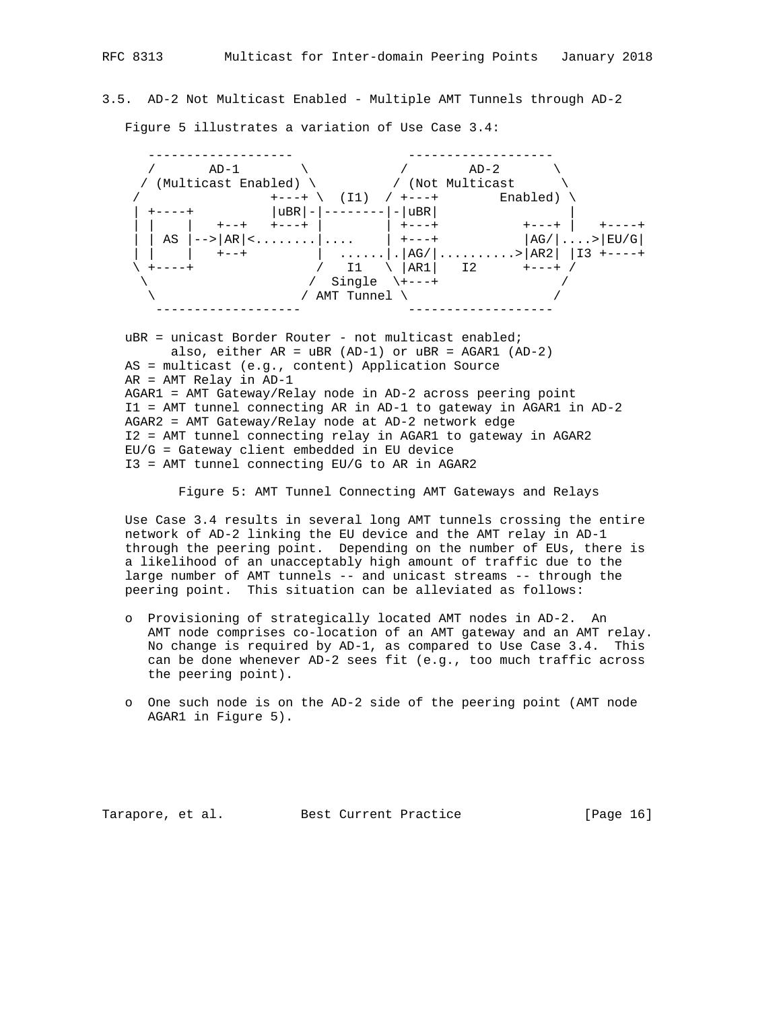3.5. AD-2 Not Multicast Enabled - Multiple AMT Tunnels through AD-2

Figure 5 illustrates a variation of Use Case 3.4:

 ------------------- -------------------  $\qquad \qquad / \qquad \qquad {\rm AD-1} \qquad \qquad \backslash \qquad \qquad \qquad \qquad \land \qquad \qquad {\rm AD-2} \qquad \qquad \backslash$ / (Multicast Enabled) \  $/$  (Not Multicast  $\qquad$  / +---+ \ (I1) / +---+ Enabled) \ | +----+ |uBR|-|--------|-|uBR| | | | | +--+ +---+ | | +---+ +---+ | +----+ | | AS |-->|AR|<........|.... | +---+ |AG/|....>|EU/G| | | | +--+ | ......|.|AG/|..........>|AR2| |I3 +----+ \ +----+ / I1 \ |AR1| I2 +---+ /  $\setminus$  / Single  $\setminus$  +---+ / /  $\setminus$  /  $\setminus$   $\setminus$   $\setminus$   $\setminus$   $\setminus$   $\setminus$   $\setminus$   $\setminus$   $\setminus$   $\setminus$ ------------------- -------------------

uBR = unicast Border Router - not multicast enabled; also, either AR = uBR (AD-1) or uBR = AGAR1 (AD-2) AS = multicast (e.g., content) Application Source AR = AMT Relay in AD-1 AGAR1 = AMT Gateway/Relay node in AD-2 across peering point I1 = AMT tunnel connecting AR in AD-1 to gateway in AGAR1 in AD-2 AGAR2 = AMT Gateway/Relay node at AD-2 network edge I2 = AMT tunnel connecting relay in AGAR1 to gateway in AGAR2 EU/G = Gateway client embedded in EU device I3 = AMT tunnel connecting EU/G to AR in AGAR2

Figure 5: AMT Tunnel Connecting AMT Gateways and Relays

 Use Case 3.4 results in several long AMT tunnels crossing the entire network of AD-2 linking the EU device and the AMT relay in AD-1 through the peering point. Depending on the number of EUs, there is a likelihood of an unacceptably high amount of traffic due to the large number of AMT tunnels -- and unicast streams -- through the peering point. This situation can be alleviated as follows:

- o Provisioning of strategically located AMT nodes in AD-2. An AMT node comprises co-location of an AMT gateway and an AMT relay. No change is required by AD-1, as compared to Use Case 3.4. This can be done whenever AD-2 sees fit (e.g., too much traffic across the peering point).
- o One such node is on the AD-2 side of the peering point (AMT node AGAR1 in Figure 5).

Tarapore, et al. Best Current Practice [Page 16]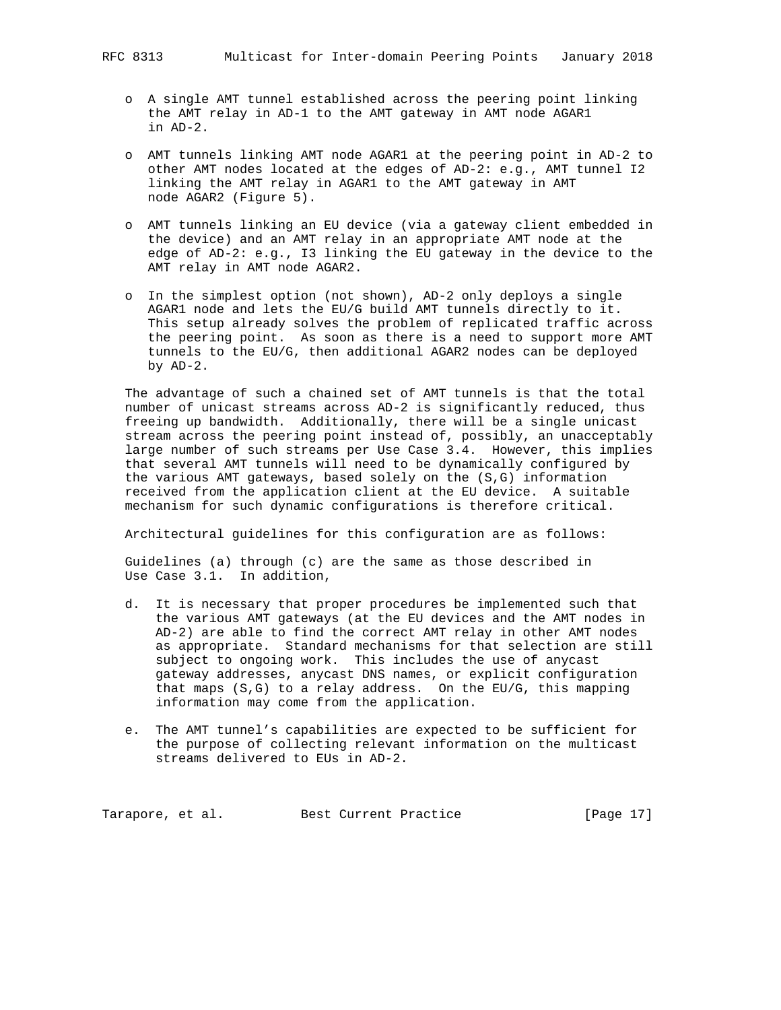- o A single AMT tunnel established across the peering point linking the AMT relay in AD-1 to the AMT gateway in AMT node AGAR1 in AD-2.
- o AMT tunnels linking AMT node AGAR1 at the peering point in AD-2 to other AMT nodes located at the edges of AD-2: e.g., AMT tunnel I2 linking the AMT relay in AGAR1 to the AMT gateway in AMT node AGAR2 (Figure 5).
- o AMT tunnels linking an EU device (via a gateway client embedded in the device) and an AMT relay in an appropriate AMT node at the edge of AD-2: e.g., I3 linking the EU gateway in the device to the AMT relay in AMT node AGAR2.
- o In the simplest option (not shown), AD-2 only deploys a single AGAR1 node and lets the EU/G build AMT tunnels directly to it. This setup already solves the problem of replicated traffic across the peering point. As soon as there is a need to support more AMT tunnels to the EU/G, then additional AGAR2 nodes can be deployed by AD-2.

 The advantage of such a chained set of AMT tunnels is that the total number of unicast streams across AD-2 is significantly reduced, thus freeing up bandwidth. Additionally, there will be a single unicast stream across the peering point instead of, possibly, an unacceptably large number of such streams per Use Case 3.4. However, this implies that several AMT tunnels will need to be dynamically configured by the various AMT gateways, based solely on the (S,G) information received from the application client at the EU device. A suitable mechanism for such dynamic configurations is therefore critical.

Architectural guidelines for this configuration are as follows:

 Guidelines (a) through (c) are the same as those described in Use Case 3.1. In addition,

- d. It is necessary that proper procedures be implemented such that the various AMT gateways (at the EU devices and the AMT nodes in AD-2) are able to find the correct AMT relay in other AMT nodes as appropriate. Standard mechanisms for that selection are still subject to ongoing work. This includes the use of anycast gateway addresses, anycast DNS names, or explicit configuration that maps (S,G) to a relay address. On the EU/G, this mapping information may come from the application.
- e. The AMT tunnel's capabilities are expected to be sufficient for the purpose of collecting relevant information on the multicast streams delivered to EUs in AD-2.

Tarapore, et al. Best Current Practice [Page 17]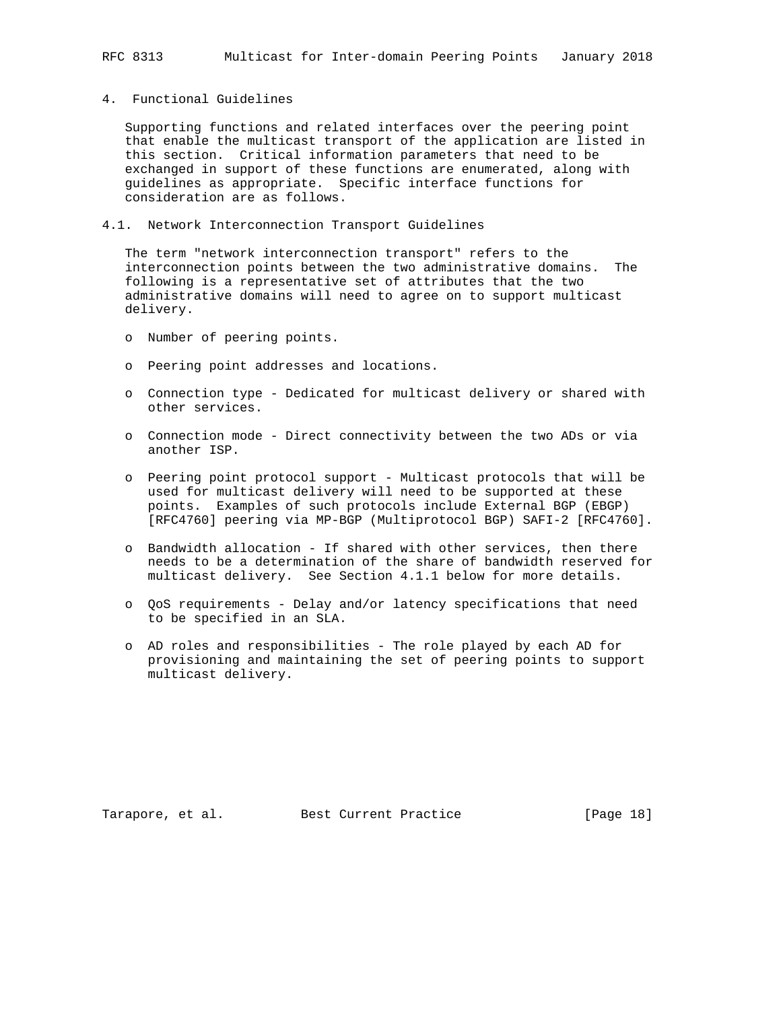### 4. Functional Guidelines

 Supporting functions and related interfaces over the peering point that enable the multicast transport of the application are listed in this section. Critical information parameters that need to be exchanged in support of these functions are enumerated, along with guidelines as appropriate. Specific interface functions for consideration are as follows.

# 4.1. Network Interconnection Transport Guidelines

 The term "network interconnection transport" refers to the interconnection points between the two administrative domains. The following is a representative set of attributes that the two administrative domains will need to agree on to support multicast delivery.

- o Number of peering points.
- o Peering point addresses and locations.
- o Connection type Dedicated for multicast delivery or shared with other services.
- o Connection mode Direct connectivity between the two ADs or via another ISP.
- o Peering point protocol support Multicast protocols that will be used for multicast delivery will need to be supported at these points. Examples of such protocols include External BGP (EBGP) [RFC4760] peering via MP-BGP (Multiprotocol BGP) SAFI-2 [RFC4760].
- o Bandwidth allocation If shared with other services, then there needs to be a determination of the share of bandwidth reserved for multicast delivery. See Section 4.1.1 below for more details.
- o QoS requirements Delay and/or latency specifications that need to be specified in an SLA.
- o AD roles and responsibilities The role played by each AD for provisioning and maintaining the set of peering points to support multicast delivery.

Tarapore, et al. Best Current Practice [Page 18]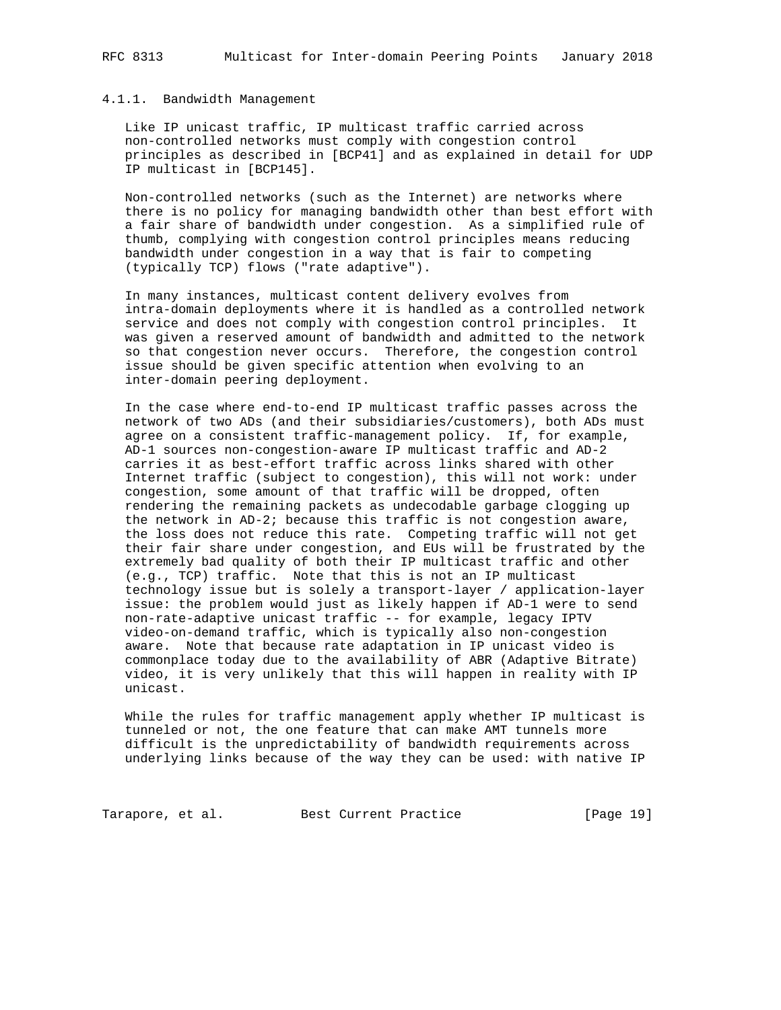### 4.1.1. Bandwidth Management

 Like IP unicast traffic, IP multicast traffic carried across non-controlled networks must comply with congestion control principles as described in [BCP41] and as explained in detail for UDP IP multicast in [BCP145].

 Non-controlled networks (such as the Internet) are networks where there is no policy for managing bandwidth other than best effort with a fair share of bandwidth under congestion. As a simplified rule of thumb, complying with congestion control principles means reducing bandwidth under congestion in a way that is fair to competing (typically TCP) flows ("rate adaptive").

 In many instances, multicast content delivery evolves from intra-domain deployments where it is handled as a controlled network service and does not comply with congestion control principles. It was given a reserved amount of bandwidth and admitted to the network so that congestion never occurs. Therefore, the congestion control issue should be given specific attention when evolving to an inter-domain peering deployment.

 In the case where end-to-end IP multicast traffic passes across the network of two ADs (and their subsidiaries/customers), both ADs must agree on a consistent traffic-management policy. If, for example, AD-1 sources non-congestion-aware IP multicast traffic and AD-2 carries it as best-effort traffic across links shared with other Internet traffic (subject to congestion), this will not work: under congestion, some amount of that traffic will be dropped, often rendering the remaining packets as undecodable garbage clogging up the network in AD-2; because this traffic is not congestion aware, the loss does not reduce this rate. Competing traffic will not get their fair share under congestion, and EUs will be frustrated by the extremely bad quality of both their IP multicast traffic and other (e.g., TCP) traffic. Note that this is not an IP multicast technology issue but is solely a transport-layer / application-layer issue: the problem would just as likely happen if AD-1 were to send non-rate-adaptive unicast traffic -- for example, legacy IPTV video-on-demand traffic, which is typically also non-congestion aware. Note that because rate adaptation in IP unicast video is commonplace today due to the availability of ABR (Adaptive Bitrate) video, it is very unlikely that this will happen in reality with IP unicast.

 While the rules for traffic management apply whether IP multicast is tunneled or not, the one feature that can make AMT tunnels more difficult is the unpredictability of bandwidth requirements across underlying links because of the way they can be used: with native IP

Tarapore, et al. Best Current Practice [Page 19]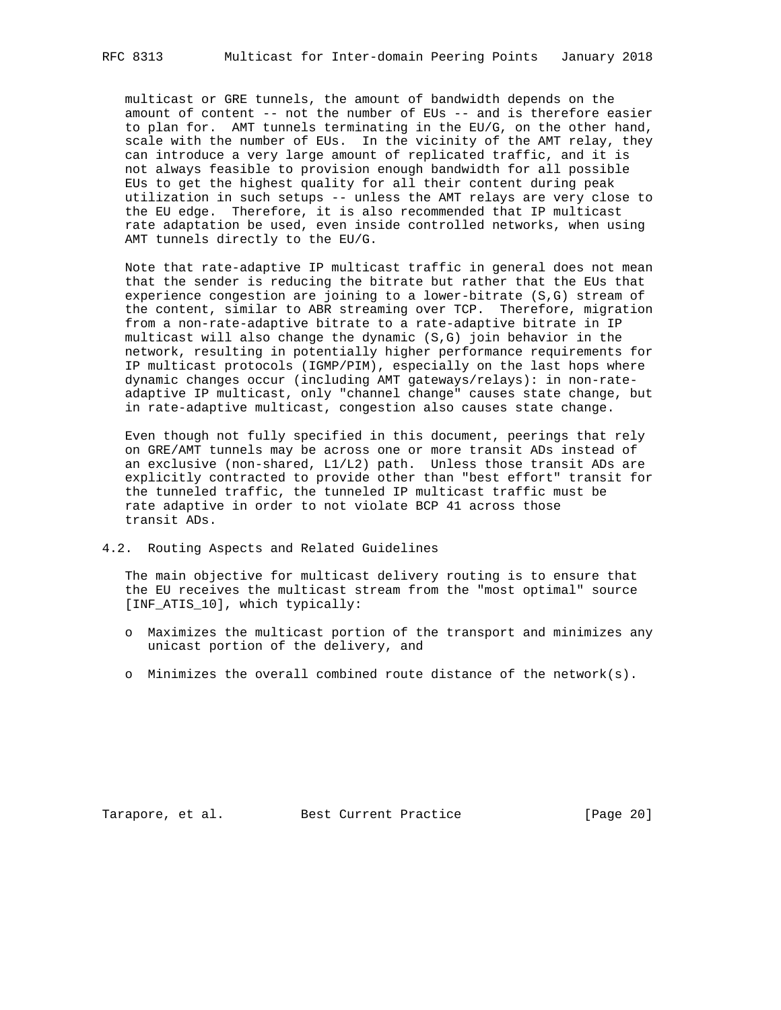multicast or GRE tunnels, the amount of bandwidth depends on the amount of content -- not the number of EUs -- and is therefore easier to plan for. AMT tunnels terminating in the EU/G, on the other hand, scale with the number of EUs. In the vicinity of the AMT relay, they can introduce a very large amount of replicated traffic, and it is not always feasible to provision enough bandwidth for all possible EUs to get the highest quality for all their content during peak utilization in such setups -- unless the AMT relays are very close to the EU edge. Therefore, it is also recommended that IP multicast rate adaptation be used, even inside controlled networks, when using AMT tunnels directly to the EU/G.

 Note that rate-adaptive IP multicast traffic in general does not mean that the sender is reducing the bitrate but rather that the EUs that experience congestion are joining to a lower-bitrate (S,G) stream of the content, similar to ABR streaming over TCP. Therefore, migration from a non-rate-adaptive bitrate to a rate-adaptive bitrate in IP multicast will also change the dynamic (S,G) join behavior in the network, resulting in potentially higher performance requirements for IP multicast protocols (IGMP/PIM), especially on the last hops where dynamic changes occur (including AMT gateways/relays): in non-rate adaptive IP multicast, only "channel change" causes state change, but in rate-adaptive multicast, congestion also causes state change.

 Even though not fully specified in this document, peerings that rely on GRE/AMT tunnels may be across one or more transit ADs instead of an exclusive (non-shared, L1/L2) path. Unless those transit ADs are explicitly contracted to provide other than "best effort" transit for the tunneled traffic, the tunneled IP multicast traffic must be rate adaptive in order to not violate BCP 41 across those transit ADs.

4.2. Routing Aspects and Related Guidelines

 The main objective for multicast delivery routing is to ensure that the EU receives the multicast stream from the "most optimal" source [INF\_ATIS\_10], which typically:

- o Maximizes the multicast portion of the transport and minimizes any unicast portion of the delivery, and
- o Minimizes the overall combined route distance of the network(s).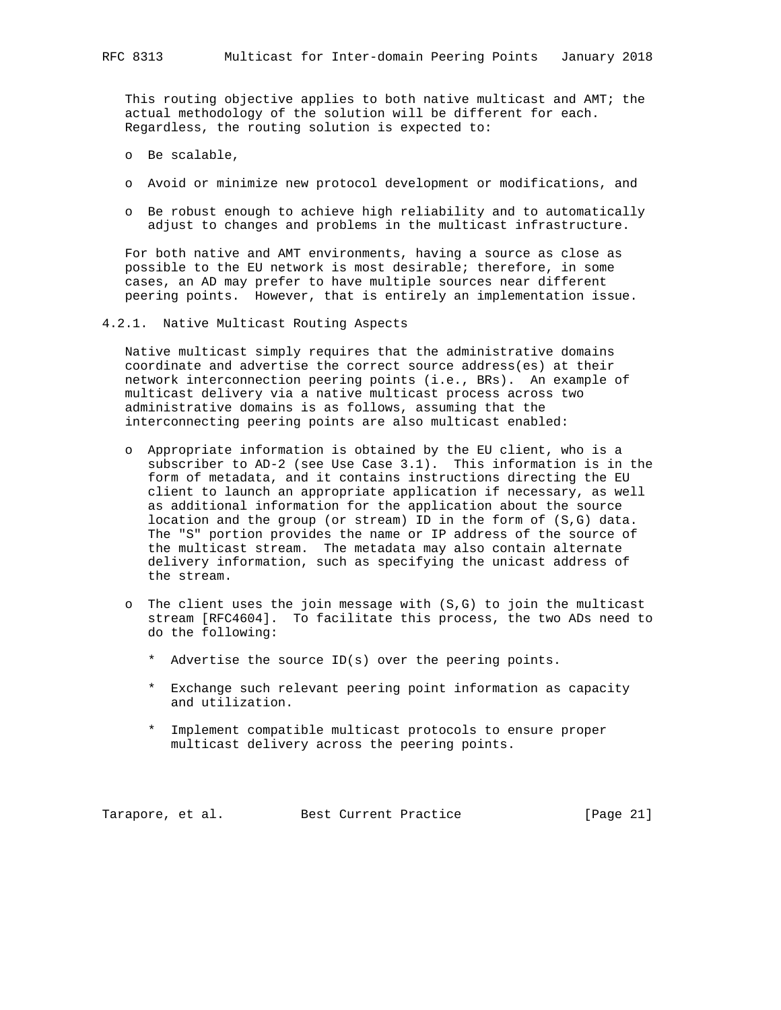This routing objective applies to both native multicast and AMT; the actual methodology of the solution will be different for each. Regardless, the routing solution is expected to:

- o Be scalable,
- o Avoid or minimize new protocol development or modifications, and
- o Be robust enough to achieve high reliability and to automatically adjust to changes and problems in the multicast infrastructure.

 For both native and AMT environments, having a source as close as possible to the EU network is most desirable; therefore, in some cases, an AD may prefer to have multiple sources near different peering points. However, that is entirely an implementation issue.

4.2.1. Native Multicast Routing Aspects

 Native multicast simply requires that the administrative domains coordinate and advertise the correct source address(es) at their network interconnection peering points (i.e., BRs). An example of multicast delivery via a native multicast process across two administrative domains is as follows, assuming that the interconnecting peering points are also multicast enabled:

- o Appropriate information is obtained by the EU client, who is a subscriber to AD-2 (see Use Case 3.1). This information is in the form of metadata, and it contains instructions directing the EU client to launch an appropriate application if necessary, as well as additional information for the application about the source location and the group (or stream) ID in the form of (S,G) data. The "S" portion provides the name or IP address of the source of the multicast stream. The metadata may also contain alternate delivery information, such as specifying the unicast address of the stream.
- o The client uses the join message with (S,G) to join the multicast stream [RFC4604]. To facilitate this process, the two ADs need to do the following:
	- \* Advertise the source ID(s) over the peering points.
	- \* Exchange such relevant peering point information as capacity and utilization.
	- \* Implement compatible multicast protocols to ensure proper multicast delivery across the peering points.

Tarapore, et al. Best Current Practice [Page 21]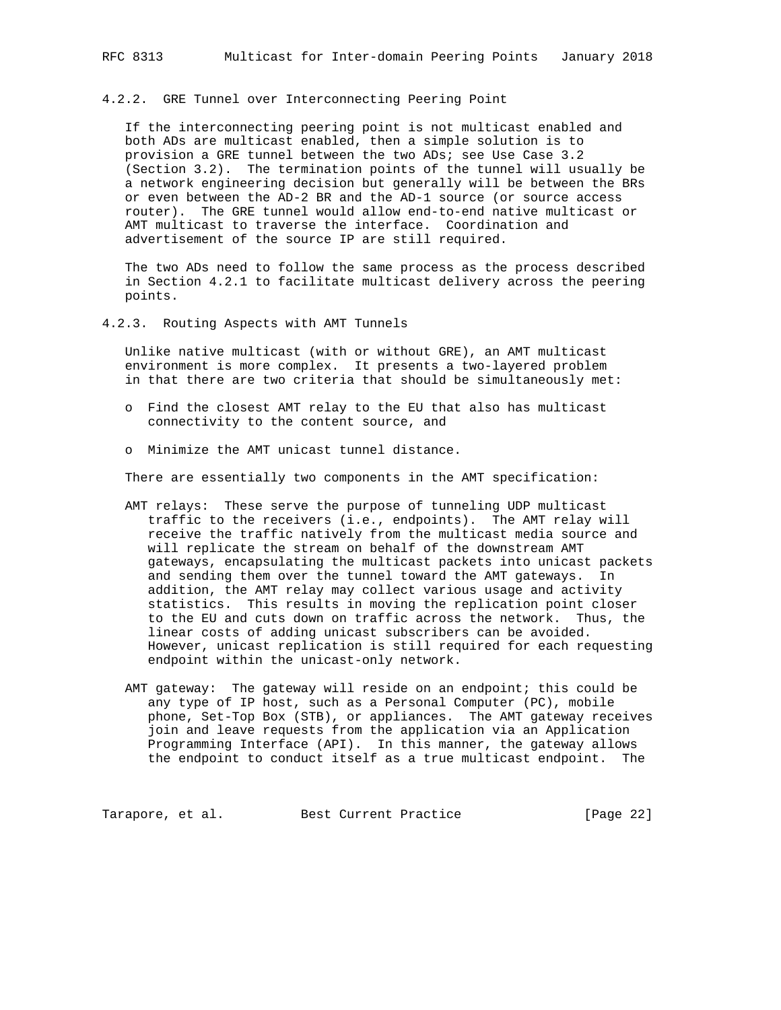### 4.2.2. GRE Tunnel over Interconnecting Peering Point

 If the interconnecting peering point is not multicast enabled and both ADs are multicast enabled, then a simple solution is to provision a GRE tunnel between the two ADs; see Use Case 3.2 (Section 3.2). The termination points of the tunnel will usually be a network engineering decision but generally will be between the BRs or even between the AD-2 BR and the AD-1 source (or source access router). The GRE tunnel would allow end-to-end native multicast or AMT multicast to traverse the interface. Coordination and advertisement of the source IP are still required.

 The two ADs need to follow the same process as the process described in Section 4.2.1 to facilitate multicast delivery across the peering points.

4.2.3. Routing Aspects with AMT Tunnels

 Unlike native multicast (with or without GRE), an AMT multicast environment is more complex. It presents a two-layered problem in that there are two criteria that should be simultaneously met:

- o Find the closest AMT relay to the EU that also has multicast connectivity to the content source, and
- o Minimize the AMT unicast tunnel distance.

There are essentially two components in the AMT specification:

- AMT relays: These serve the purpose of tunneling UDP multicast traffic to the receivers (i.e., endpoints). The AMT relay will receive the traffic natively from the multicast media source and will replicate the stream on behalf of the downstream AMT gateways, encapsulating the multicast packets into unicast packets and sending them over the tunnel toward the AMT gateways. In addition, the AMT relay may collect various usage and activity statistics. This results in moving the replication point closer to the EU and cuts down on traffic across the network. Thus, the linear costs of adding unicast subscribers can be avoided. However, unicast replication is still required for each requesting endpoint within the unicast-only network.
- AMT gateway: The gateway will reside on an endpoint; this could be any type of IP host, such as a Personal Computer (PC), mobile phone, Set-Top Box (STB), or appliances. The AMT gateway receives join and leave requests from the application via an Application Programming Interface (API). In this manner, the gateway allows the endpoint to conduct itself as a true multicast endpoint. The

Tarapore, et al. Best Current Practice [Page 22]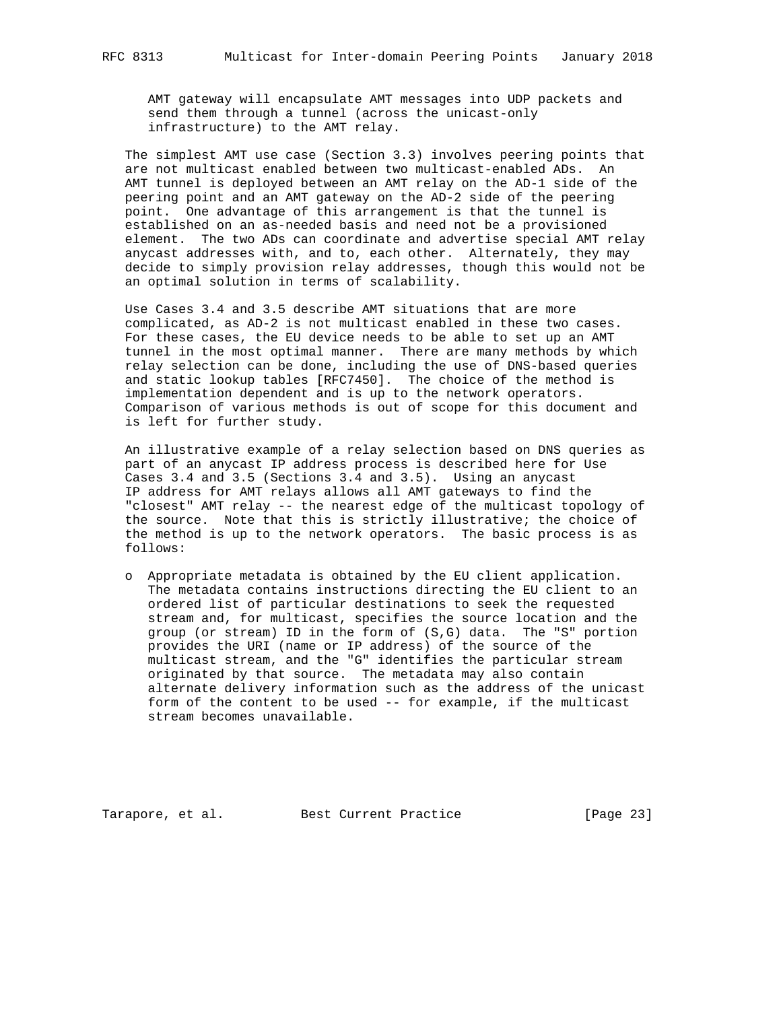AMT gateway will encapsulate AMT messages into UDP packets and send them through a tunnel (across the unicast-only infrastructure) to the AMT relay.

 The simplest AMT use case (Section 3.3) involves peering points that are not multicast enabled between two multicast-enabled ADs. An AMT tunnel is deployed between an AMT relay on the AD-1 side of the peering point and an AMT gateway on the AD-2 side of the peering point. One advantage of this arrangement is that the tunnel is established on an as-needed basis and need not be a provisioned element. The two ADs can coordinate and advertise special AMT relay anycast addresses with, and to, each other. Alternately, they may decide to simply provision relay addresses, though this would not be an optimal solution in terms of scalability.

 Use Cases 3.4 and 3.5 describe AMT situations that are more complicated, as AD-2 is not multicast enabled in these two cases. For these cases, the EU device needs to be able to set up an AMT tunnel in the most optimal manner. There are many methods by which relay selection can be done, including the use of DNS-based queries and static lookup tables [RFC7450]. The choice of the method is implementation dependent and is up to the network operators. Comparison of various methods is out of scope for this document and is left for further study.

 An illustrative example of a relay selection based on DNS queries as part of an anycast IP address process is described here for Use Cases 3.4 and 3.5 (Sections 3.4 and 3.5). Using an anycast IP address for AMT relays allows all AMT gateways to find the "closest" AMT relay -- the nearest edge of the multicast topology of the source. Note that this is strictly illustrative; the choice of the method is up to the network operators. The basic process is as follows:

 o Appropriate metadata is obtained by the EU client application. The metadata contains instructions directing the EU client to an ordered list of particular destinations to seek the requested stream and, for multicast, specifies the source location and the group (or stream) ID in the form of (S,G) data. The "S" portion provides the URI (name or IP address) of the source of the multicast stream, and the "G" identifies the particular stream originated by that source. The metadata may also contain alternate delivery information such as the address of the unicast form of the content to be used -- for example, if the multicast stream becomes unavailable.

Tarapore, et al. Best Current Practice [Page 23]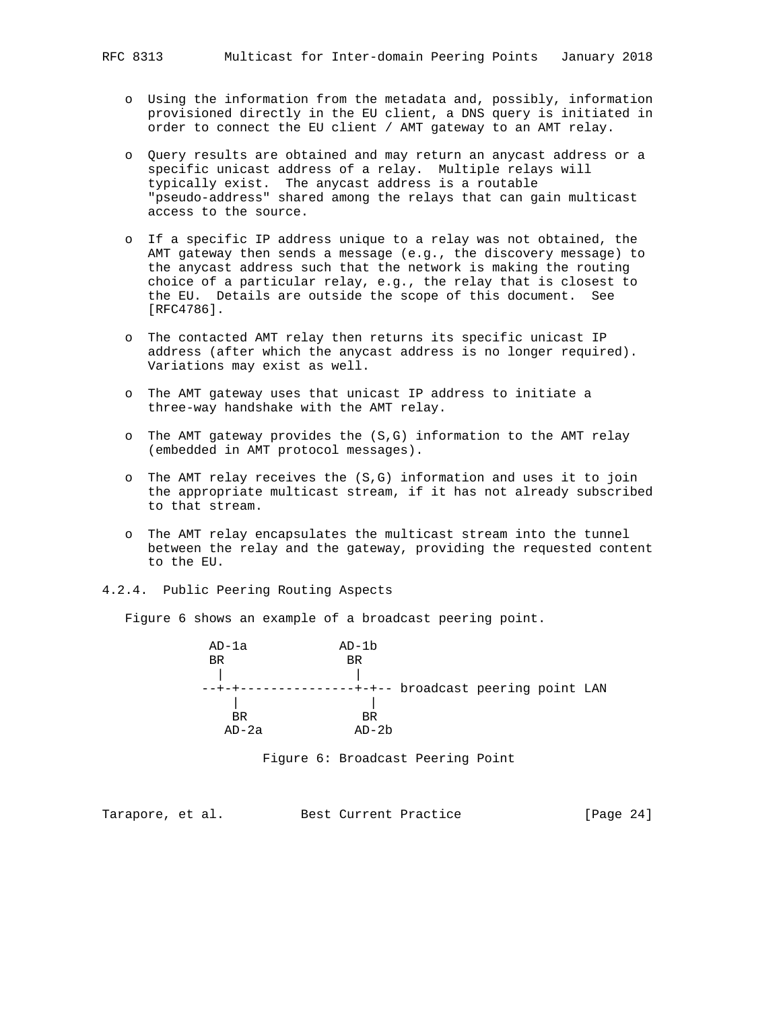- o Using the information from the metadata and, possibly, information provisioned directly in the EU client, a DNS query is initiated in order to connect the EU client / AMT gateway to an AMT relay.
- o Query results are obtained and may return an anycast address or a specific unicast address of a relay. Multiple relays will typically exist. The anycast address is a routable "pseudo-address" shared among the relays that can gain multicast access to the source.
- o If a specific IP address unique to a relay was not obtained, the AMT gateway then sends a message (e.g., the discovery message) to the anycast address such that the network is making the routing choice of a particular relay, e.g., the relay that is closest to the EU. Details are outside the scope of this document. See [RFC4786].
- o The contacted AMT relay then returns its specific unicast IP address (after which the anycast address is no longer required). Variations may exist as well.
- o The AMT gateway uses that unicast IP address to initiate a three-way handshake with the AMT relay.
- o The AMT gateway provides the (S,G) information to the AMT relay (embedded in AMT protocol messages).
- o The AMT relay receives the (S,G) information and uses it to join the appropriate multicast stream, if it has not already subscribed to that stream.
- o The AMT relay encapsulates the multicast stream into the tunnel between the relay and the gateway, providing the requested content to the EU.
- 4.2.4. Public Peering Routing Aspects

Figure 6 shows an example of a broadcast peering point.

 AD-1a AD-1b BR BR | | --+-+----------------+-+-- broadcast peering point LAN<br>| | | **BR** BR AD-2a AD-2b

Figure 6: Broadcast Peering Point

Tarapore, et al. Best Current Practice [Page 24]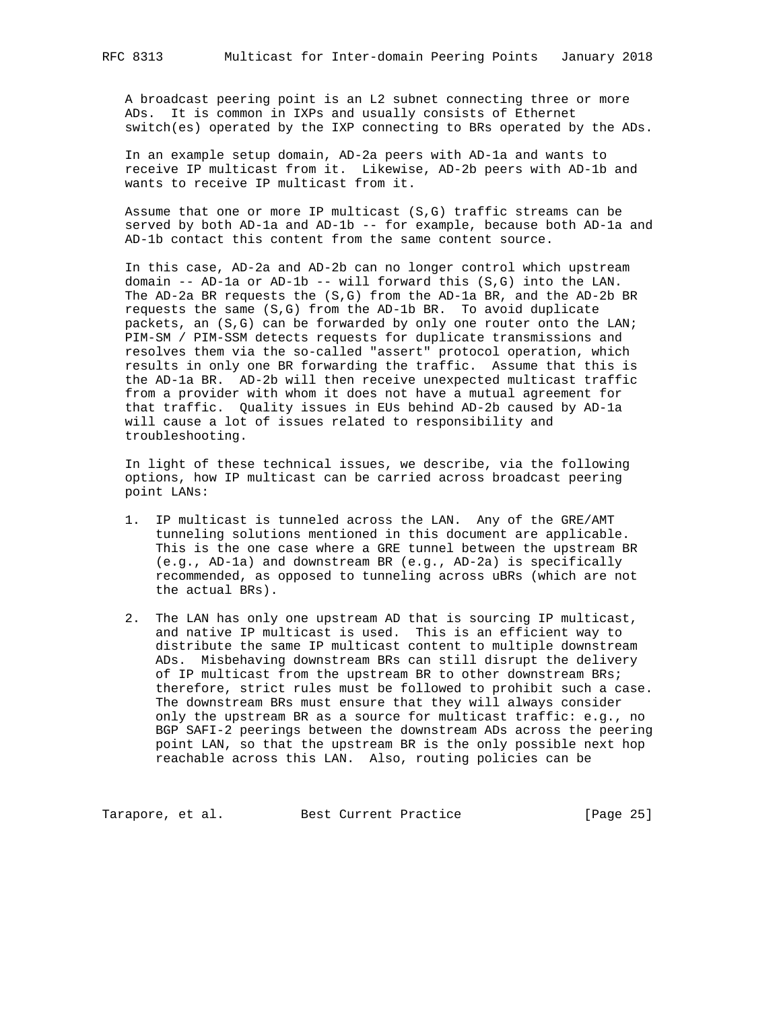A broadcast peering point is an L2 subnet connecting three or more ADs. It is common in IXPs and usually consists of Ethernet switch(es) operated by the IXP connecting to BRs operated by the ADs.

 In an example setup domain, AD-2a peers with AD-1a and wants to receive IP multicast from it. Likewise, AD-2b peers with AD-1b and wants to receive IP multicast from it.

 Assume that one or more IP multicast (S,G) traffic streams can be served by both AD-1a and AD-1b -- for example, because both AD-1a and AD-1b contact this content from the same content source.

 In this case, AD-2a and AD-2b can no longer control which upstream domain -- AD-1a or AD-1b -- will forward this (S,G) into the LAN. The AD-2a BR requests the  $(S,G)$  from the AD-1a BR, and the AD-2b BR requests the same (S,G) from the AD-1b BR. To avoid duplicate packets, an (S,G) can be forwarded by only one router onto the LAN; PIM-SM / PIM-SSM detects requests for duplicate transmissions and resolves them via the so-called "assert" protocol operation, which results in only one BR forwarding the traffic. Assume that this is the AD-1a BR. AD-2b will then receive unexpected multicast traffic from a provider with whom it does not have a mutual agreement for that traffic. Quality issues in EUs behind AD-2b caused by AD-1a will cause a lot of issues related to responsibility and troubleshooting.

 In light of these technical issues, we describe, via the following options, how IP multicast can be carried across broadcast peering point LANs:

- 1. IP multicast is tunneled across the LAN. Any of the GRE/AMT tunneling solutions mentioned in this document are applicable. This is the one case where a GRE tunnel between the upstream BR (e.g., AD-1a) and downstream BR (e.g., AD-2a) is specifically recommended, as opposed to tunneling across uBRs (which are not the actual BRs).
- 2. The LAN has only one upstream AD that is sourcing IP multicast, and native IP multicast is used. This is an efficient way to distribute the same IP multicast content to multiple downstream ADs. Misbehaving downstream BRs can still disrupt the delivery of IP multicast from the upstream BR to other downstream BRs; therefore, strict rules must be followed to prohibit such a case. The downstream BRs must ensure that they will always consider only the upstream BR as a source for multicast traffic: e.g., no BGP SAFI-2 peerings between the downstream ADs across the peering point LAN, so that the upstream BR is the only possible next hop reachable across this LAN. Also, routing policies can be

Tarapore, et al. Best Current Practice [Page 25]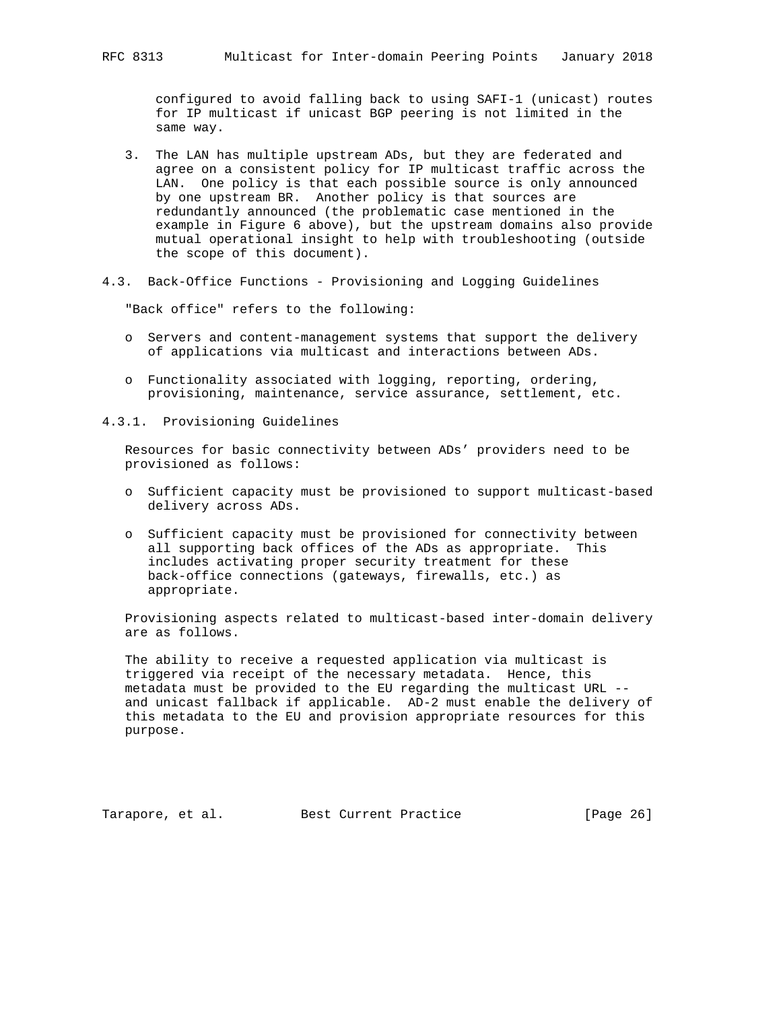configured to avoid falling back to using SAFI-1 (unicast) routes for IP multicast if unicast BGP peering is not limited in the same way.

- 3. The LAN has multiple upstream ADs, but they are federated and agree on a consistent policy for IP multicast traffic across the LAN. One policy is that each possible source is only announced by one upstream BR. Another policy is that sources are redundantly announced (the problematic case mentioned in the example in Figure 6 above), but the upstream domains also provide mutual operational insight to help with troubleshooting (outside the scope of this document).
- 4.3. Back-Office Functions Provisioning and Logging Guidelines

"Back office" refers to the following:

- o Servers and content-management systems that support the delivery of applications via multicast and interactions between ADs.
- o Functionality associated with logging, reporting, ordering, provisioning, maintenance, service assurance, settlement, etc.
- 4.3.1. Provisioning Guidelines

 Resources for basic connectivity between ADs' providers need to be provisioned as follows:

- o Sufficient capacity must be provisioned to support multicast-based delivery across ADs.
- o Sufficient capacity must be provisioned for connectivity between all supporting back offices of the ADs as appropriate. This includes activating proper security treatment for these back-office connections (gateways, firewalls, etc.) as appropriate.

 Provisioning aspects related to multicast-based inter-domain delivery are as follows.

 The ability to receive a requested application via multicast is triggered via receipt of the necessary metadata. Hence, this metadata must be provided to the EU regarding the multicast URL - and unicast fallback if applicable. AD-2 must enable the delivery of this metadata to the EU and provision appropriate resources for this purpose.

Tarapore, et al. Best Current Practice [Page 26]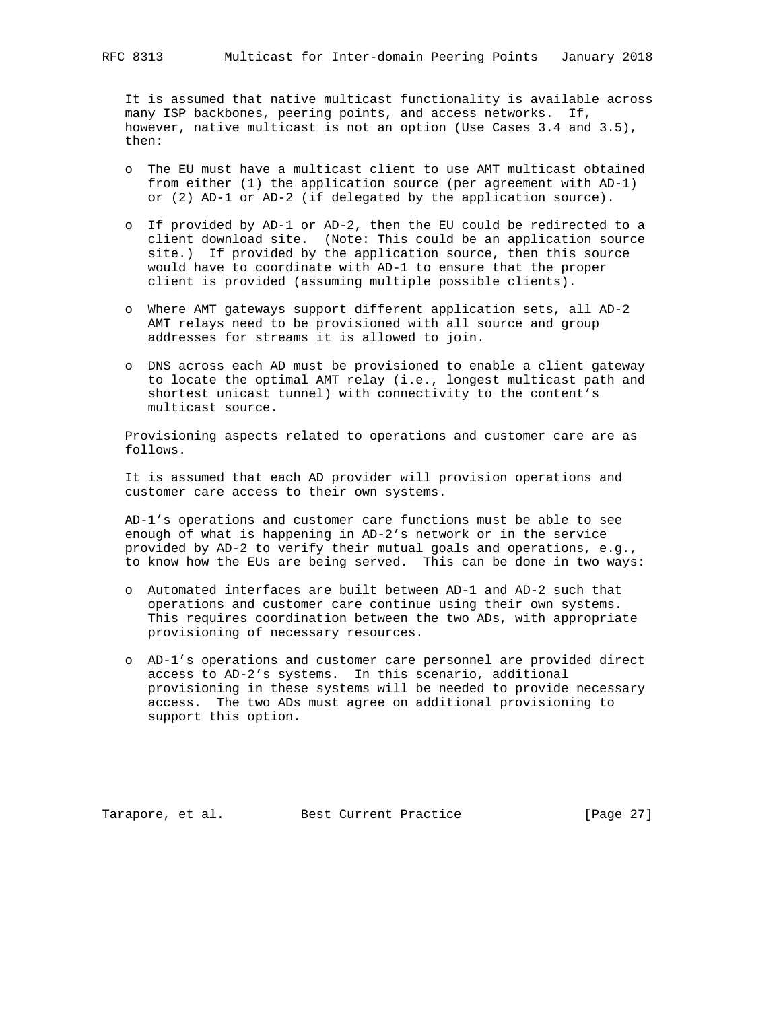It is assumed that native multicast functionality is available across many ISP backbones, peering points, and access networks. If, however, native multicast is not an option (Use Cases 3.4 and 3.5), then:

- o The EU must have a multicast client to use AMT multicast obtained from either (1) the application source (per agreement with AD-1) or (2) AD-1 or AD-2 (if delegated by the application source).
- o If provided by AD-1 or AD-2, then the EU could be redirected to a client download site. (Note: This could be an application source site.) If provided by the application source, then this source would have to coordinate with AD-1 to ensure that the proper client is provided (assuming multiple possible clients).
- o Where AMT gateways support different application sets, all AD-2 AMT relays need to be provisioned with all source and group addresses for streams it is allowed to join.
- o DNS across each AD must be provisioned to enable a client gateway to locate the optimal AMT relay (i.e., longest multicast path and shortest unicast tunnel) with connectivity to the content's multicast source.

 Provisioning aspects related to operations and customer care are as follows.

 It is assumed that each AD provider will provision operations and customer care access to their own systems.

 AD-1's operations and customer care functions must be able to see enough of what is happening in AD-2's network or in the service provided by AD-2 to verify their mutual goals and operations, e.g., to know how the EUs are being served. This can be done in two ways:

- o Automated interfaces are built between AD-1 and AD-2 such that operations and customer care continue using their own systems. This requires coordination between the two ADs, with appropriate provisioning of necessary resources.
- o AD-1's operations and customer care personnel are provided direct access to AD-2's systems. In this scenario, additional provisioning in these systems will be needed to provide necessary access. The two ADs must agree on additional provisioning to support this option.

Tarapore, et al. Best Current Practice [Page 27]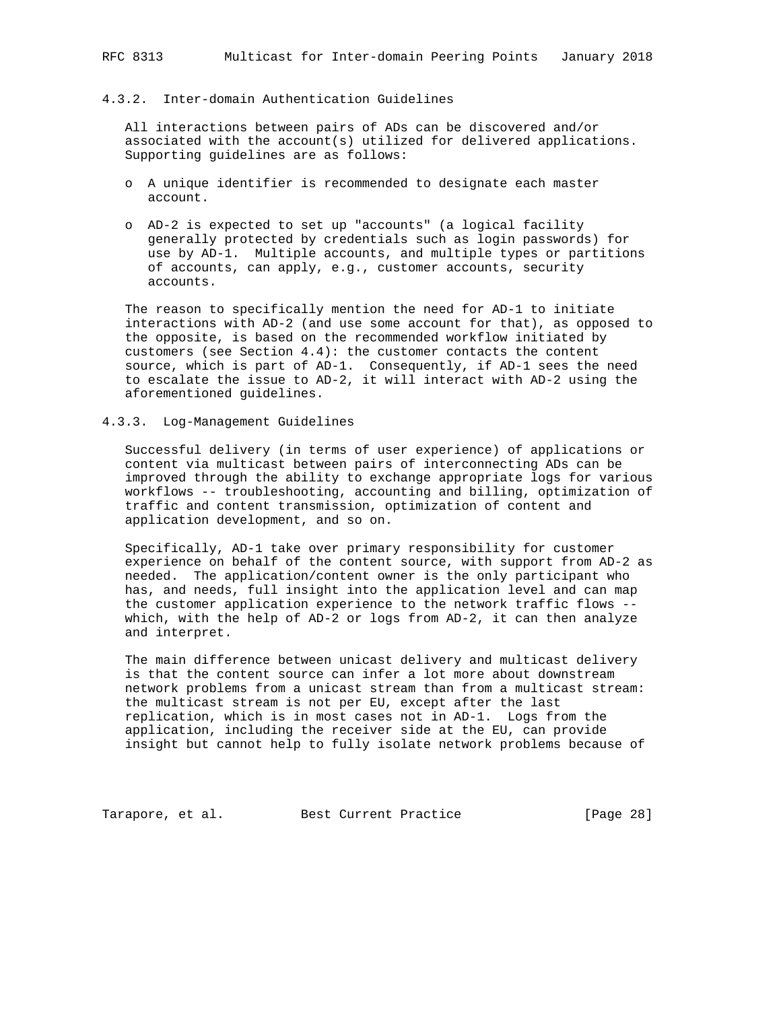### 4.3.2. Inter-domain Authentication Guidelines

 All interactions between pairs of ADs can be discovered and/or associated with the account(s) utilized for delivered applications. Supporting guidelines are as follows:

- o A unique identifier is recommended to designate each master account.
- o AD-2 is expected to set up "accounts" (a logical facility generally protected by credentials such as login passwords) for use by AD-1. Multiple accounts, and multiple types or partitions of accounts, can apply, e.g., customer accounts, security accounts.

 The reason to specifically mention the need for AD-1 to initiate interactions with AD-2 (and use some account for that), as opposed to the opposite, is based on the recommended workflow initiated by customers (see Section 4.4): the customer contacts the content source, which is part of AD-1. Consequently, if AD-1 sees the need to escalate the issue to AD-2, it will interact with AD-2 using the aforementioned guidelines.

### 4.3.3. Log-Management Guidelines

 Successful delivery (in terms of user experience) of applications or content via multicast between pairs of interconnecting ADs can be improved through the ability to exchange appropriate logs for various workflows -- troubleshooting, accounting and billing, optimization of traffic and content transmission, optimization of content and application development, and so on.

 Specifically, AD-1 take over primary responsibility for customer experience on behalf of the content source, with support from AD-2 as needed. The application/content owner is the only participant who has, and needs, full insight into the application level and can map the customer application experience to the network traffic flows - which, with the help of AD-2 or logs from AD-2, it can then analyze and interpret.

 The main difference between unicast delivery and multicast delivery is that the content source can infer a lot more about downstream network problems from a unicast stream than from a multicast stream: the multicast stream is not per EU, except after the last replication, which is in most cases not in AD-1. Logs from the application, including the receiver side at the EU, can provide insight but cannot help to fully isolate network problems because of

Tarapore, et al. Best Current Practice [Page 28]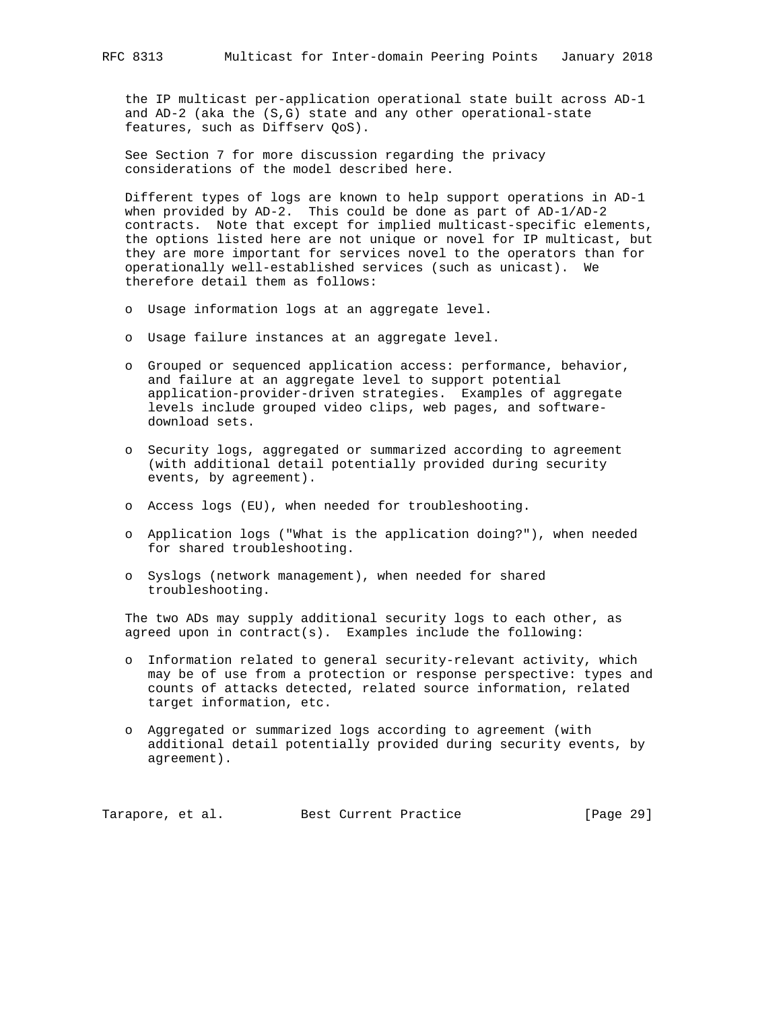the IP multicast per-application operational state built across AD-1 and AD-2 (aka the (S,G) state and any other operational-state features, such as Diffserv QoS).

 See Section 7 for more discussion regarding the privacy considerations of the model described here.

 Different types of logs are known to help support operations in AD-1 when provided by AD-2. This could be done as part of AD-1/AD-2 contracts. Note that except for implied multicast-specific elements, the options listed here are not unique or novel for IP multicast, but they are more important for services novel to the operators than for operationally well-established services (such as unicast). We therefore detail them as follows:

- o Usage information logs at an aggregate level.
- o Usage failure instances at an aggregate level.
- o Grouped or sequenced application access: performance, behavior, and failure at an aggregate level to support potential application-provider-driven strategies. Examples of aggregate levels include grouped video clips, web pages, and software download sets.
- o Security logs, aggregated or summarized according to agreement (with additional detail potentially provided during security events, by agreement).
- o Access logs (EU), when needed for troubleshooting.
- o Application logs ("What is the application doing?"), when needed for shared troubleshooting.
- o Syslogs (network management), when needed for shared troubleshooting.

 The two ADs may supply additional security logs to each other, as agreed upon in contract(s). Examples include the following:

- o Information related to general security-relevant activity, which may be of use from a protection or response perspective: types and counts of attacks detected, related source information, related target information, etc.
- o Aggregated or summarized logs according to agreement (with additional detail potentially provided during security events, by agreement).

Tarapore, et al. Best Current Practice [Page 29]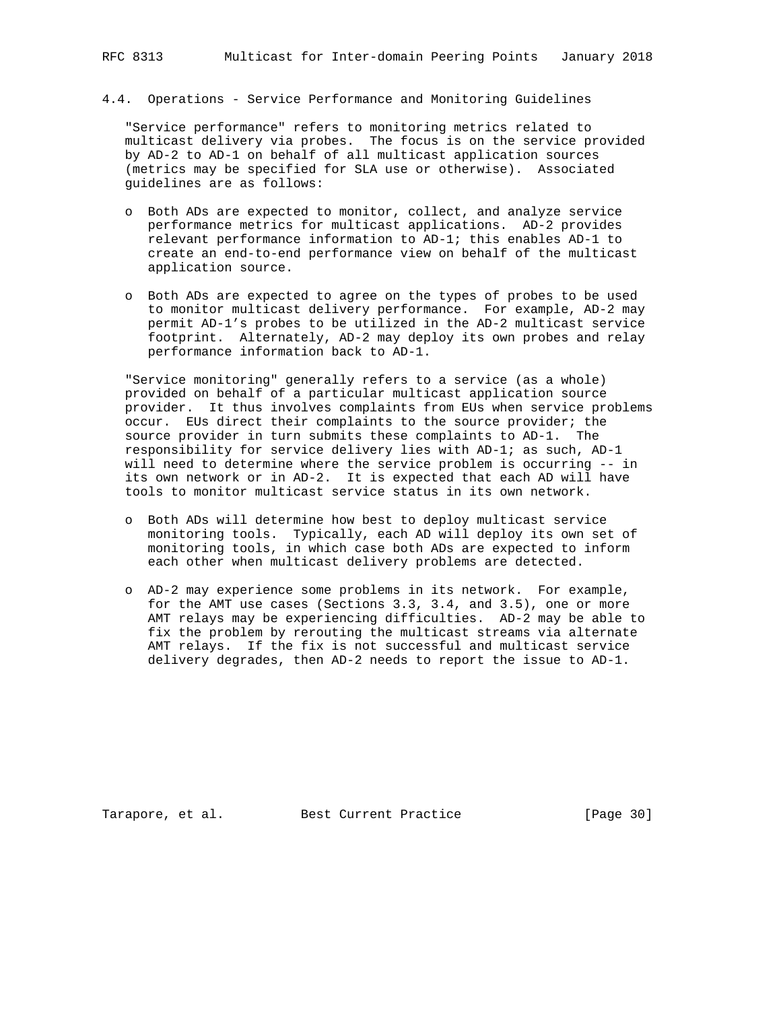### 4.4. Operations - Service Performance and Monitoring Guidelines

 "Service performance" refers to monitoring metrics related to multicast delivery via probes. The focus is on the service provided by AD-2 to AD-1 on behalf of all multicast application sources (metrics may be specified for SLA use or otherwise). Associated guidelines are as follows:

- o Both ADs are expected to monitor, collect, and analyze service performance metrics for multicast applications. AD-2 provides relevant performance information to AD-1; this enables AD-1 to create an end-to-end performance view on behalf of the multicast application source.
- o Both ADs are expected to agree on the types of probes to be used to monitor multicast delivery performance. For example, AD-2 may permit AD-1's probes to be utilized in the AD-2 multicast service footprint. Alternately, AD-2 may deploy its own probes and relay performance information back to AD-1.

 "Service monitoring" generally refers to a service (as a whole) provided on behalf of a particular multicast application source provider. It thus involves complaints from EUs when service problems occur. EUs direct their complaints to the source provider; the source provider in turn submits these complaints to AD-1. The responsibility for service delivery lies with AD-1; as such, AD-1 will need to determine where the service problem is occurring -- in its own network or in AD-2. It is expected that each AD will have tools to monitor multicast service status in its own network.

- o Both ADs will determine how best to deploy multicast service monitoring tools. Typically, each AD will deploy its own set of monitoring tools, in which case both ADs are expected to inform each other when multicast delivery problems are detected.
- o AD-2 may experience some problems in its network. For example, for the AMT use cases (Sections 3.3, 3.4, and 3.5), one or more AMT relays may be experiencing difficulties. AD-2 may be able to fix the problem by rerouting the multicast streams via alternate AMT relays. If the fix is not successful and multicast service delivery degrades, then AD-2 needs to report the issue to AD-1.

Tarapore, et al. Best Current Practice [Page 30]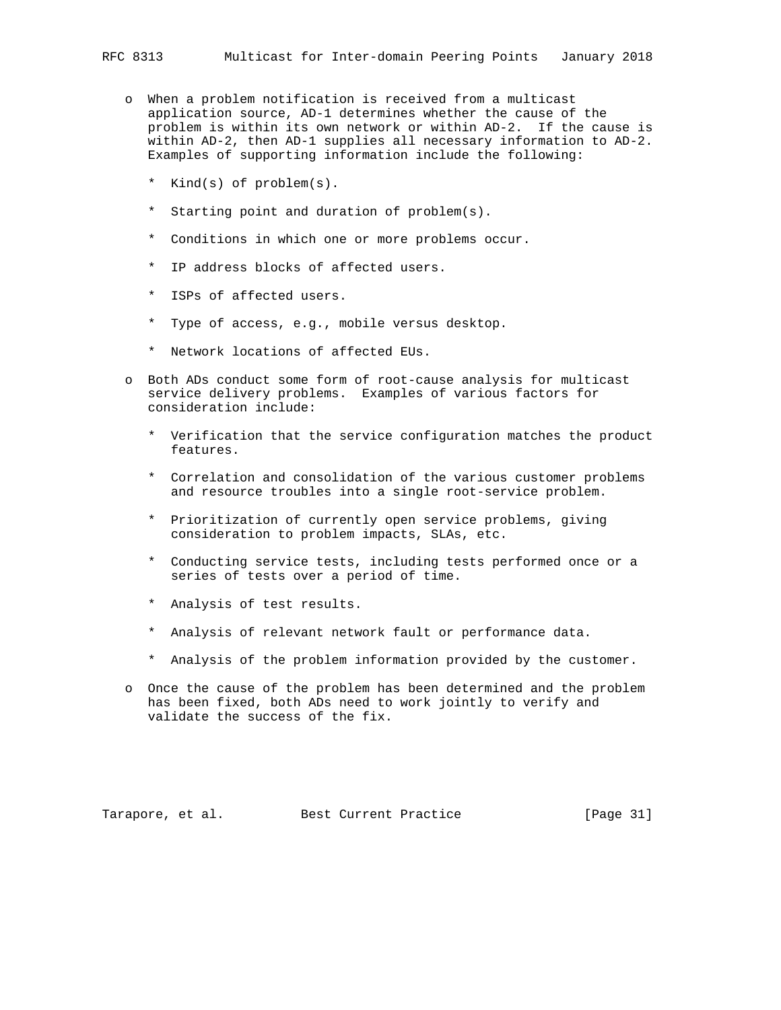- o When a problem notification is received from a multicast application source, AD-1 determines whether the cause of the problem is within its own network or within AD-2. If the cause is within AD-2, then AD-1 supplies all necessary information to AD-2. Examples of supporting information include the following:
	- \* Kind(s) of problem(s).
	- \* Starting point and duration of problem(s).
	- \* Conditions in which one or more problems occur.
	- \* IP address blocks of affected users.
	- \* ISPs of affected users.
	- \* Type of access, e.g., mobile versus desktop.
	- \* Network locations of affected EUs.
- o Both ADs conduct some form of root-cause analysis for multicast service delivery problems. Examples of various factors for consideration include:
	- \* Verification that the service configuration matches the product features.
	- \* Correlation and consolidation of the various customer problems and resource troubles into a single root-service problem.
	- \* Prioritization of currently open service problems, giving consideration to problem impacts, SLAs, etc.
	- \* Conducting service tests, including tests performed once or a series of tests over a period of time.
	- \* Analysis of test results.
	- \* Analysis of relevant network fault or performance data.
	- \* Analysis of the problem information provided by the customer.
- o Once the cause of the problem has been determined and the problem has been fixed, both ADs need to work jointly to verify and validate the success of the fix.

Tarapore, et al. Best Current Practice [Page 31]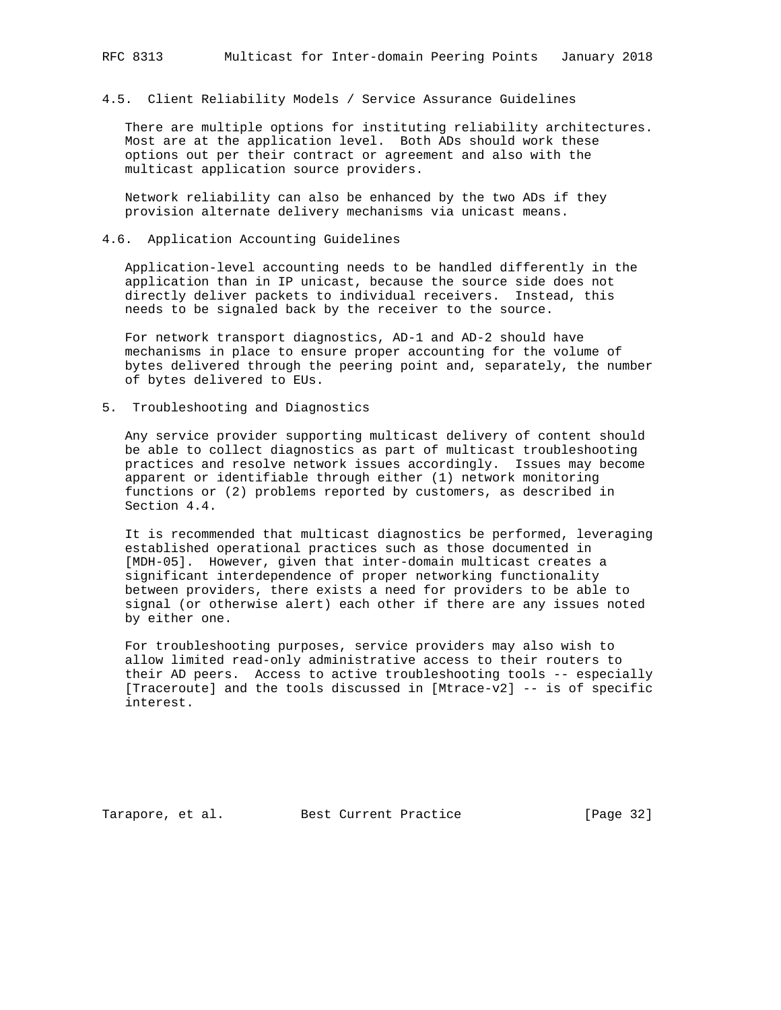4.5. Client Reliability Models / Service Assurance Guidelines

 There are multiple options for instituting reliability architectures. Most are at the application level. Both ADs should work these options out per their contract or agreement and also with the multicast application source providers.

 Network reliability can also be enhanced by the two ADs if they provision alternate delivery mechanisms via unicast means.

### 4.6. Application Accounting Guidelines

 Application-level accounting needs to be handled differently in the application than in IP unicast, because the source side does not directly deliver packets to individual receivers. Instead, this needs to be signaled back by the receiver to the source.

 For network transport diagnostics, AD-1 and AD-2 should have mechanisms in place to ensure proper accounting for the volume of bytes delivered through the peering point and, separately, the number of bytes delivered to EUs.

5. Troubleshooting and Diagnostics

 Any service provider supporting multicast delivery of content should be able to collect diagnostics as part of multicast troubleshooting practices and resolve network issues accordingly. Issues may become apparent or identifiable through either (1) network monitoring functions or (2) problems reported by customers, as described in Section 4.4.

 It is recommended that multicast diagnostics be performed, leveraging established operational practices such as those documented in [MDH-05]. However, given that inter-domain multicast creates a significant interdependence of proper networking functionality between providers, there exists a need for providers to be able to signal (or otherwise alert) each other if there are any issues noted by either one.

 For troubleshooting purposes, service providers may also wish to allow limited read-only administrative access to their routers to their AD peers. Access to active troubleshooting tools -- especially [Traceroute] and the tools discussed in [Mtrace-v2] -- is of specific interest.

Tarapore, et al. Best Current Practice [Page 32]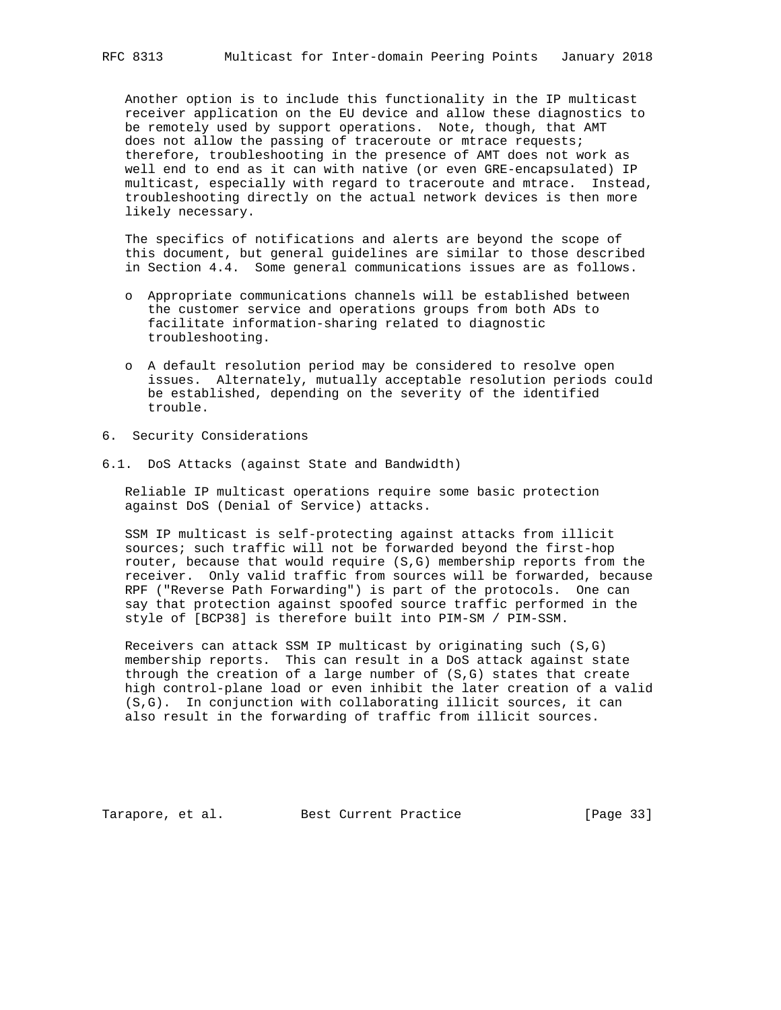Another option is to include this functionality in the IP multicast receiver application on the EU device and allow these diagnostics to be remotely used by support operations. Note, though, that AMT does not allow the passing of traceroute or mtrace requests; therefore, troubleshooting in the presence of AMT does not work as well end to end as it can with native (or even GRE-encapsulated) IP multicast, especially with regard to traceroute and mtrace. Instead, troubleshooting directly on the actual network devices is then more likely necessary.

 The specifics of notifications and alerts are beyond the scope of this document, but general guidelines are similar to those described in Section 4.4. Some general communications issues are as follows.

- o Appropriate communications channels will be established between the customer service and operations groups from both ADs to facilitate information-sharing related to diagnostic troubleshooting.
- o A default resolution period may be considered to resolve open issues. Alternately, mutually acceptable resolution periods could be established, depending on the severity of the identified trouble.
- 6. Security Considerations
- 6.1. DoS Attacks (against State and Bandwidth)

 Reliable IP multicast operations require some basic protection against DoS (Denial of Service) attacks.

 SSM IP multicast is self-protecting against attacks from illicit sources; such traffic will not be forwarded beyond the first-hop router, because that would require (S,G) membership reports from the receiver. Only valid traffic from sources will be forwarded, because RPF ("Reverse Path Forwarding") is part of the protocols. One can say that protection against spoofed source traffic performed in the style of [BCP38] is therefore built into PIM-SM / PIM-SSM.

 Receivers can attack SSM IP multicast by originating such (S,G) membership reports. This can result in a DoS attack against state through the creation of a large number of (S,G) states that create high control-plane load or even inhibit the later creation of a valid (S,G). In conjunction with collaborating illicit sources, it can also result in the forwarding of traffic from illicit sources.

Tarapore, et al. Best Current Practice [Page 33]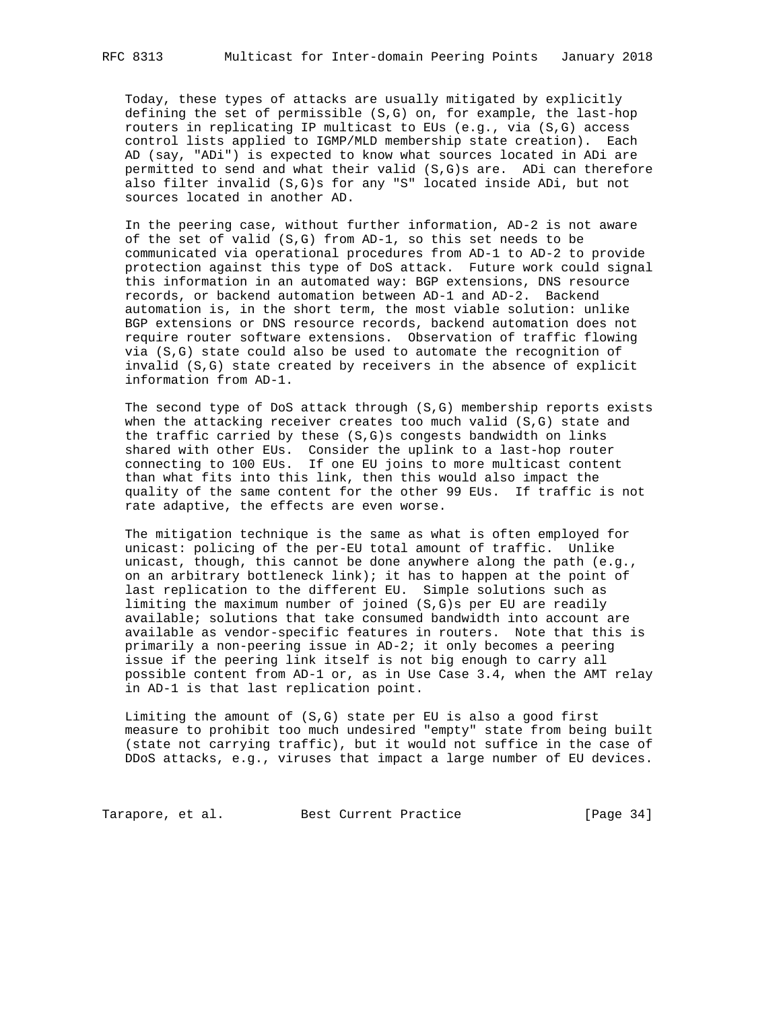Today, these types of attacks are usually mitigated by explicitly defining the set of permissible (S,G) on, for example, the last-hop routers in replicating IP multicast to EUs (e.g., via (S,G) access control lists applied to IGMP/MLD membership state creation). Each AD (say, "ADi") is expected to know what sources located in ADi are permitted to send and what their valid (S,G)s are. ADi can therefore also filter invalid (S,G)s for any "S" located inside ADi, but not sources located in another AD.

 In the peering case, without further information, AD-2 is not aware of the set of valid (S,G) from AD-1, so this set needs to be communicated via operational procedures from AD-1 to AD-2 to provide protection against this type of DoS attack. Future work could signal this information in an automated way: BGP extensions, DNS resource records, or backend automation between AD-1 and AD-2. Backend automation is, in the short term, the most viable solution: unlike BGP extensions or DNS resource records, backend automation does not require router software extensions. Observation of traffic flowing via (S,G) state could also be used to automate the recognition of invalid (S,G) state created by receivers in the absence of explicit information from AD-1.

 The second type of DoS attack through (S,G) membership reports exists when the attacking receiver creates too much valid (S,G) state and the traffic carried by these (S,G)s congests bandwidth on links shared with other EUs. Consider the uplink to a last-hop router connecting to 100 EUs. If one EU joins to more multicast content than what fits into this link, then this would also impact the quality of the same content for the other 99 EUs. If traffic is not rate adaptive, the effects are even worse.

 The mitigation technique is the same as what is often employed for unicast: policing of the per-EU total amount of traffic. Unlike unicast, though, this cannot be done anywhere along the path (e.g., on an arbitrary bottleneck link); it has to happen at the point of last replication to the different EU. Simple solutions such as limiting the maximum number of joined (S,G)s per EU are readily available; solutions that take consumed bandwidth into account are available as vendor-specific features in routers. Note that this is primarily a non-peering issue in AD-2; it only becomes a peering issue if the peering link itself is not big enough to carry all possible content from AD-1 or, as in Use Case 3.4, when the AMT relay in AD-1 is that last replication point.

Limiting the amount of  $(S,G)$  state per EU is also a good first measure to prohibit too much undesired "empty" state from being built (state not carrying traffic), but it would not suffice in the case of DDoS attacks, e.g., viruses that impact a large number of EU devices.

Tarapore, et al. Best Current Practice [Page 34]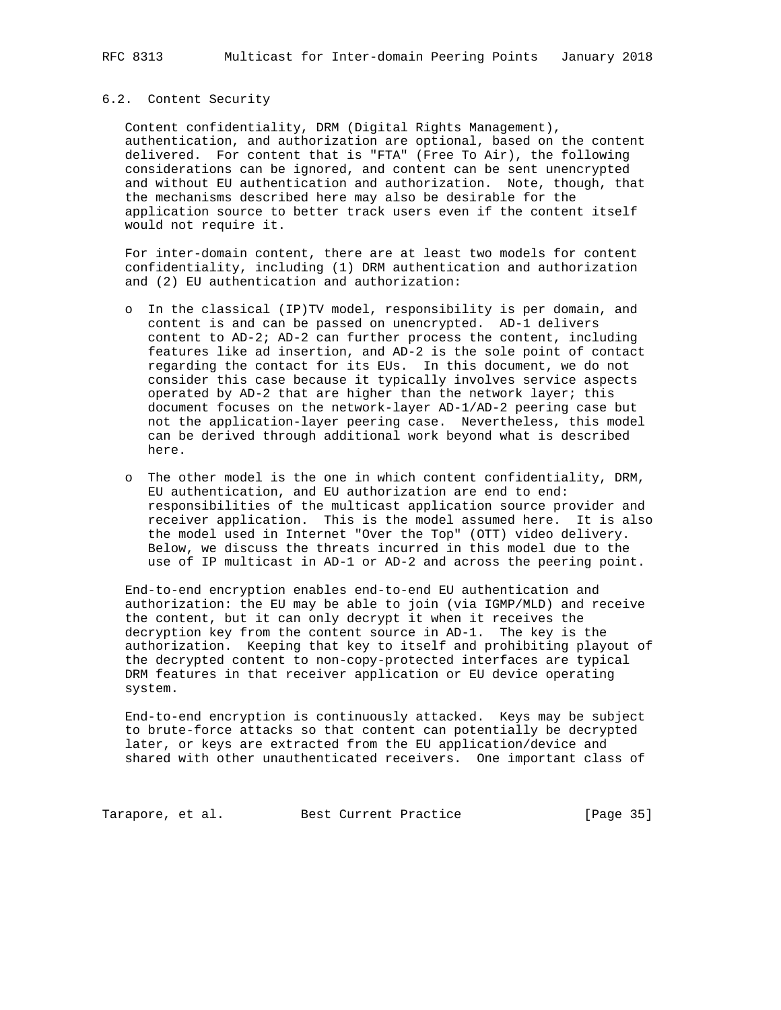### 6.2. Content Security

 Content confidentiality, DRM (Digital Rights Management), authentication, and authorization are optional, based on the content delivered. For content that is "FTA" (Free To Air), the following considerations can be ignored, and content can be sent unencrypted and without EU authentication and authorization. Note, though, that the mechanisms described here may also be desirable for the application source to better track users even if the content itself would not require it.

 For inter-domain content, there are at least two models for content confidentiality, including (1) DRM authentication and authorization and (2) EU authentication and authorization:

- o In the classical (IP)TV model, responsibility is per domain, and content is and can be passed on unencrypted. AD-1 delivers content to AD-2; AD-2 can further process the content, including features like ad insertion, and AD-2 is the sole point of contact regarding the contact for its EUs. In this document, we do not consider this case because it typically involves service aspects operated by AD-2 that are higher than the network layer; this document focuses on the network-layer AD-1/AD-2 peering case but not the application-layer peering case. Nevertheless, this model can be derived through additional work beyond what is described here.
- o The other model is the one in which content confidentiality, DRM, EU authentication, and EU authorization are end to end: responsibilities of the multicast application source provider and receiver application. This is the model assumed here. It is also the model used in Internet "Over the Top" (OTT) video delivery. Below, we discuss the threats incurred in this model due to the use of IP multicast in AD-1 or AD-2 and across the peering point.

 End-to-end encryption enables end-to-end EU authentication and authorization: the EU may be able to join (via IGMP/MLD) and receive the content, but it can only decrypt it when it receives the decryption key from the content source in AD-1. The key is the authorization. Keeping that key to itself and prohibiting playout of the decrypted content to non-copy-protected interfaces are typical DRM features in that receiver application or EU device operating system.

 End-to-end encryption is continuously attacked. Keys may be subject to brute-force attacks so that content can potentially be decrypted later, or keys are extracted from the EU application/device and shared with other unauthenticated receivers. One important class of

Tarapore, et al. Best Current Practice [Page 35]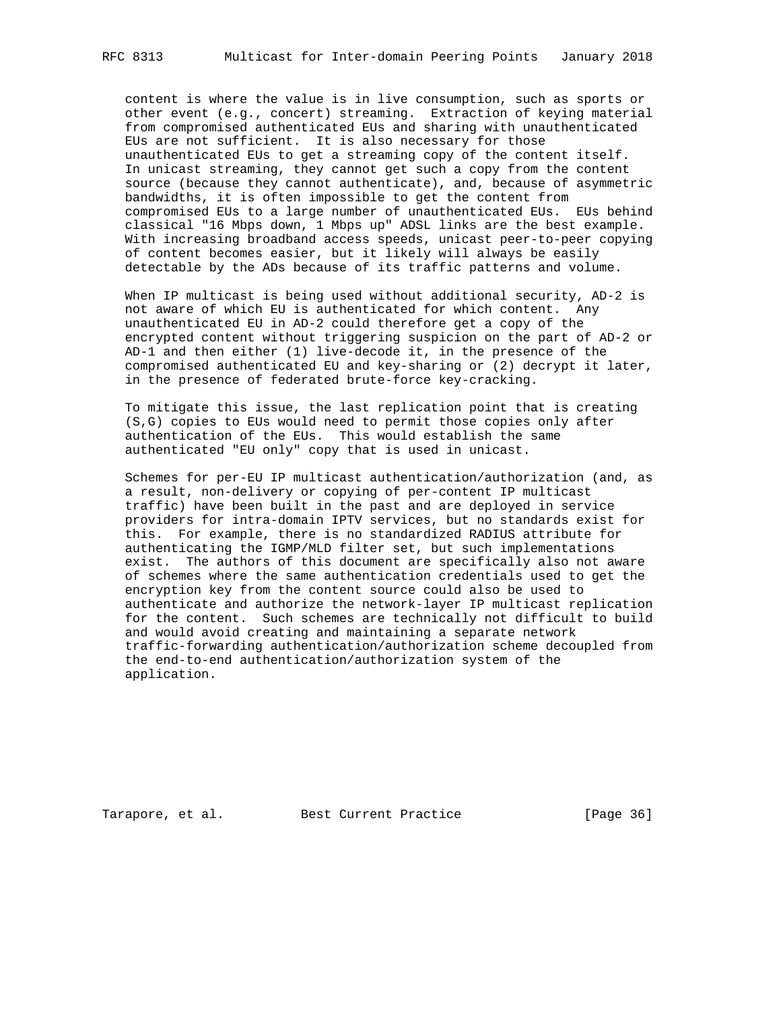content is where the value is in live consumption, such as sports or other event (e.g., concert) streaming. Extraction of keying material from compromised authenticated EUs and sharing with unauthenticated EUs are not sufficient. It is also necessary for those unauthenticated EUs to get a streaming copy of the content itself. In unicast streaming, they cannot get such a copy from the content source (because they cannot authenticate), and, because of asymmetric bandwidths, it is often impossible to get the content from compromised EUs to a large number of unauthenticated EUs. EUs behind classical "16 Mbps down, 1 Mbps up" ADSL links are the best example. With increasing broadband access speeds, unicast peer-to-peer copying of content becomes easier, but it likely will always be easily detectable by the ADs because of its traffic patterns and volume.

 When IP multicast is being used without additional security, AD-2 is not aware of which EU is authenticated for which content. Any unauthenticated EU in AD-2 could therefore get a copy of the encrypted content without triggering suspicion on the part of AD-2 or AD-1 and then either (1) live-decode it, in the presence of the compromised authenticated EU and key-sharing or (2) decrypt it later, in the presence of federated brute-force key-cracking.

 To mitigate this issue, the last replication point that is creating (S,G) copies to EUs would need to permit those copies only after authentication of the EUs. This would establish the same authenticated "EU only" copy that is used in unicast.

 Schemes for per-EU IP multicast authentication/authorization (and, as a result, non-delivery or copying of per-content IP multicast traffic) have been built in the past and are deployed in service providers for intra-domain IPTV services, but no standards exist for this. For example, there is no standardized RADIUS attribute for authenticating the IGMP/MLD filter set, but such implementations exist. The authors of this document are specifically also not aware of schemes where the same authentication credentials used to get the encryption key from the content source could also be used to authenticate and authorize the network-layer IP multicast replication for the content. Such schemes are technically not difficult to build and would avoid creating and maintaining a separate network traffic-forwarding authentication/authorization scheme decoupled from the end-to-end authentication/authorization system of the application.

Tarapore, et al. Best Current Practice [Page 36]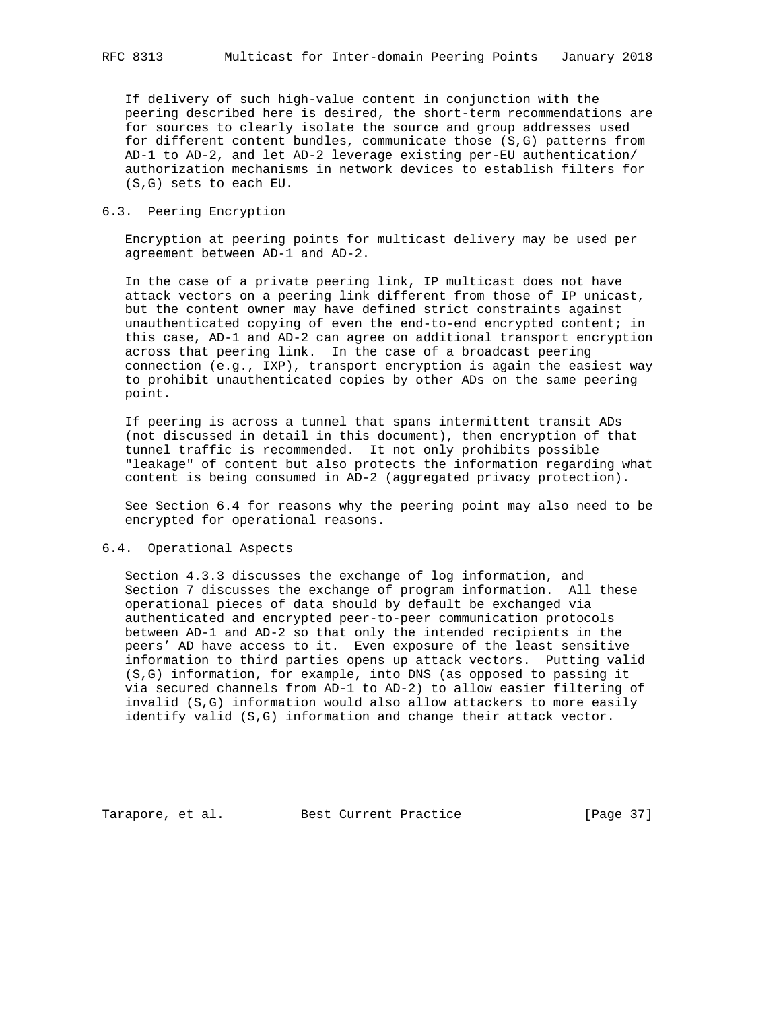If delivery of such high-value content in conjunction with the peering described here is desired, the short-term recommendations are for sources to clearly isolate the source and group addresses used for different content bundles, communicate those (S,G) patterns from AD-1 to AD-2, and let AD-2 leverage existing per-EU authentication/ authorization mechanisms in network devices to establish filters for (S,G) sets to each EU.

### 6.3. Peering Encryption

 Encryption at peering points for multicast delivery may be used per agreement between AD-1 and AD-2.

 In the case of a private peering link, IP multicast does not have attack vectors on a peering link different from those of IP unicast, but the content owner may have defined strict constraints against unauthenticated copying of even the end-to-end encrypted content; in this case, AD-1 and AD-2 can agree on additional transport encryption across that peering link. In the case of a broadcast peering connection (e.g., IXP), transport encryption is again the easiest way to prohibit unauthenticated copies by other ADs on the same peering point.

 If peering is across a tunnel that spans intermittent transit ADs (not discussed in detail in this document), then encryption of that tunnel traffic is recommended. It not only prohibits possible "leakage" of content but also protects the information regarding what content is being consumed in AD-2 (aggregated privacy protection).

 See Section 6.4 for reasons why the peering point may also need to be encrypted for operational reasons.

#### 6.4. Operational Aspects

 Section 4.3.3 discusses the exchange of log information, and Section 7 discusses the exchange of program information. All these operational pieces of data should by default be exchanged via authenticated and encrypted peer-to-peer communication protocols between AD-1 and AD-2 so that only the intended recipients in the peers' AD have access to it. Even exposure of the least sensitive information to third parties opens up attack vectors. Putting valid (S,G) information, for example, into DNS (as opposed to passing it via secured channels from AD-1 to AD-2) to allow easier filtering of invalid (S,G) information would also allow attackers to more easily identify valid (S,G) information and change their attack vector.

Tarapore, et al. Best Current Practice [Page 37]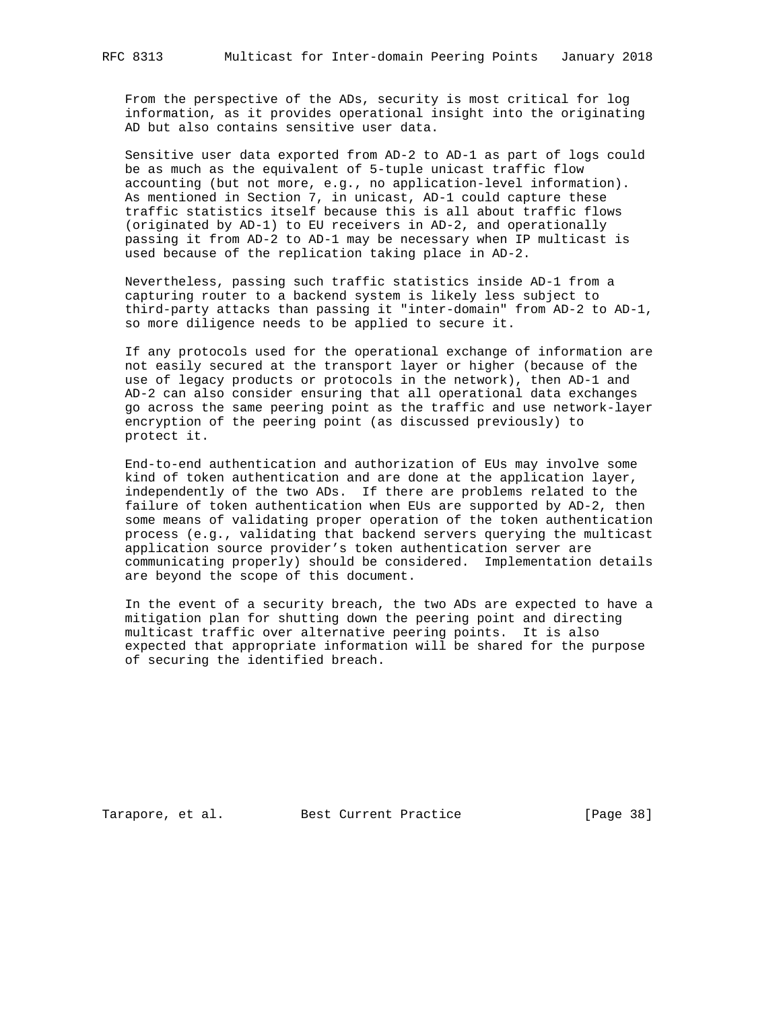From the perspective of the ADs, security is most critical for log information, as it provides operational insight into the originating AD but also contains sensitive user data.

 Sensitive user data exported from AD-2 to AD-1 as part of logs could be as much as the equivalent of 5-tuple unicast traffic flow accounting (but not more, e.g., no application-level information). As mentioned in Section 7, in unicast, AD-1 could capture these traffic statistics itself because this is all about traffic flows (originated by AD-1) to EU receivers in AD-2, and operationally passing it from AD-2 to AD-1 may be necessary when IP multicast is used because of the replication taking place in AD-2.

 Nevertheless, passing such traffic statistics inside AD-1 from a capturing router to a backend system is likely less subject to third-party attacks than passing it "inter-domain" from AD-2 to AD-1, so more diligence needs to be applied to secure it.

 If any protocols used for the operational exchange of information are not easily secured at the transport layer or higher (because of the use of legacy products or protocols in the network), then AD-1 and AD-2 can also consider ensuring that all operational data exchanges go across the same peering point as the traffic and use network-layer encryption of the peering point (as discussed previously) to protect it.

 End-to-end authentication and authorization of EUs may involve some kind of token authentication and are done at the application layer, independently of the two ADs. If there are problems related to the failure of token authentication when EUs are supported by AD-2, then some means of validating proper operation of the token authentication process (e.g., validating that backend servers querying the multicast application source provider's token authentication server are communicating properly) should be considered. Implementation details are beyond the scope of this document.

 In the event of a security breach, the two ADs are expected to have a mitigation plan for shutting down the peering point and directing multicast traffic over alternative peering points. It is also expected that appropriate information will be shared for the purpose of securing the identified breach.

Tarapore, et al. Best Current Practice [Page 38]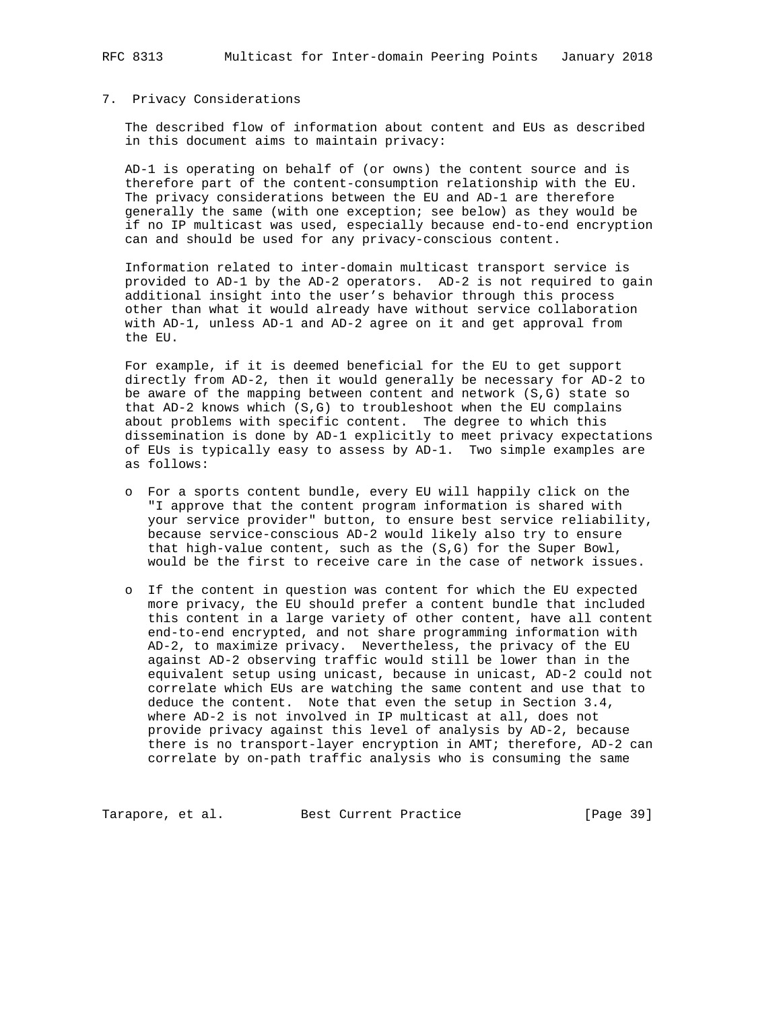RFC 8313 Multicast for Inter-domain Peering Points January 2018

### 7. Privacy Considerations

 The described flow of information about content and EUs as described in this document aims to maintain privacy:

 AD-1 is operating on behalf of (or owns) the content source and is therefore part of the content-consumption relationship with the EU. The privacy considerations between the EU and AD-1 are therefore generally the same (with one exception; see below) as they would be if no IP multicast was used, especially because end-to-end encryption can and should be used for any privacy-conscious content.

 Information related to inter-domain multicast transport service is provided to AD-1 by the AD-2 operators. AD-2 is not required to gain additional insight into the user's behavior through this process other than what it would already have without service collaboration with AD-1, unless AD-1 and AD-2 agree on it and get approval from the EU.

 For example, if it is deemed beneficial for the EU to get support directly from AD-2, then it would generally be necessary for AD-2 to be aware of the mapping between content and network (S,G) state so that AD-2 knows which (S,G) to troubleshoot when the EU complains about problems with specific content. The degree to which this dissemination is done by AD-1 explicitly to meet privacy expectations of EUs is typically easy to assess by AD-1. Two simple examples are as follows:

- o For a sports content bundle, every EU will happily click on the "I approve that the content program information is shared with your service provider" button, to ensure best service reliability, because service-conscious AD-2 would likely also try to ensure that high-value content, such as the (S,G) for the Super Bowl, would be the first to receive care in the case of network issues.
- o If the content in question was content for which the EU expected more privacy, the EU should prefer a content bundle that included this content in a large variety of other content, have all content end-to-end encrypted, and not share programming information with AD-2, to maximize privacy. Nevertheless, the privacy of the EU against AD-2 observing traffic would still be lower than in the equivalent setup using unicast, because in unicast, AD-2 could not correlate which EUs are watching the same content and use that to deduce the content. Note that even the setup in Section 3.4, where AD-2 is not involved in IP multicast at all, does not provide privacy against this level of analysis by AD-2, because there is no transport-layer encryption in AMT; therefore, AD-2 can correlate by on-path traffic analysis who is consuming the same

Tarapore, et al. Best Current Practice [Page 39]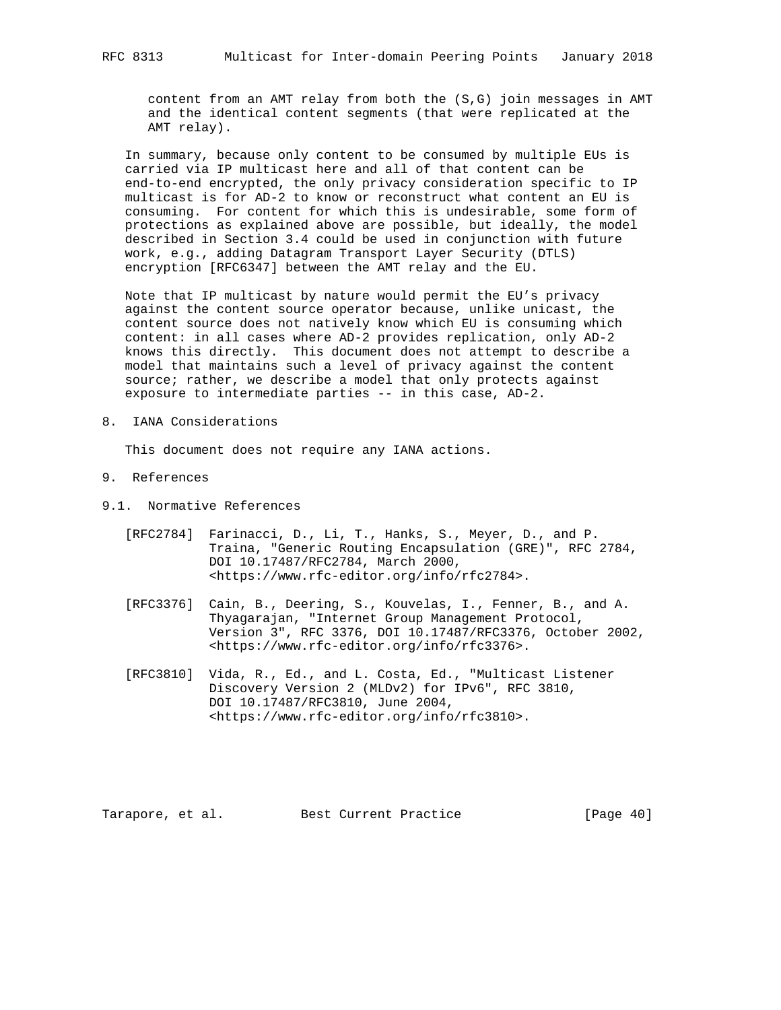content from an AMT relay from both the (S,G) join messages in AMT and the identical content segments (that were replicated at the AMT relay).

 In summary, because only content to be consumed by multiple EUs is carried via IP multicast here and all of that content can be end-to-end encrypted, the only privacy consideration specific to IP multicast is for AD-2 to know or reconstruct what content an EU is consuming. For content for which this is undesirable, some form of protections as explained above are possible, but ideally, the model described in Section 3.4 could be used in conjunction with future work, e.g., adding Datagram Transport Layer Security (DTLS) encryption [RFC6347] between the AMT relay and the EU.

 Note that IP multicast by nature would permit the EU's privacy against the content source operator because, unlike unicast, the content source does not natively know which EU is consuming which content: in all cases where AD-2 provides replication, only AD-2 knows this directly. This document does not attempt to describe a model that maintains such a level of privacy against the content source; rather, we describe a model that only protects against exposure to intermediate parties -- in this case, AD-2.

8. IANA Considerations

This document does not require any IANA actions.

- 9. References
- 9.1. Normative References
	- [RFC2784] Farinacci, D., Li, T., Hanks, S., Meyer, D., and P. Traina, "Generic Routing Encapsulation (GRE)", RFC 2784, DOI 10.17487/RFC2784, March 2000, <https://www.rfc-editor.org/info/rfc2784>.
	- [RFC3376] Cain, B., Deering, S., Kouvelas, I., Fenner, B., and A. Thyagarajan, "Internet Group Management Protocol, Version 3", RFC 3376, DOI 10.17487/RFC3376, October 2002, <https://www.rfc-editor.org/info/rfc3376>.
	- [RFC3810] Vida, R., Ed., and L. Costa, Ed., "Multicast Listener Discovery Version 2 (MLDv2) for IPv6", RFC 3810, DOI 10.17487/RFC3810, June 2004, <https://www.rfc-editor.org/info/rfc3810>.

Tarapore, et al. Best Current Practice [Page 40]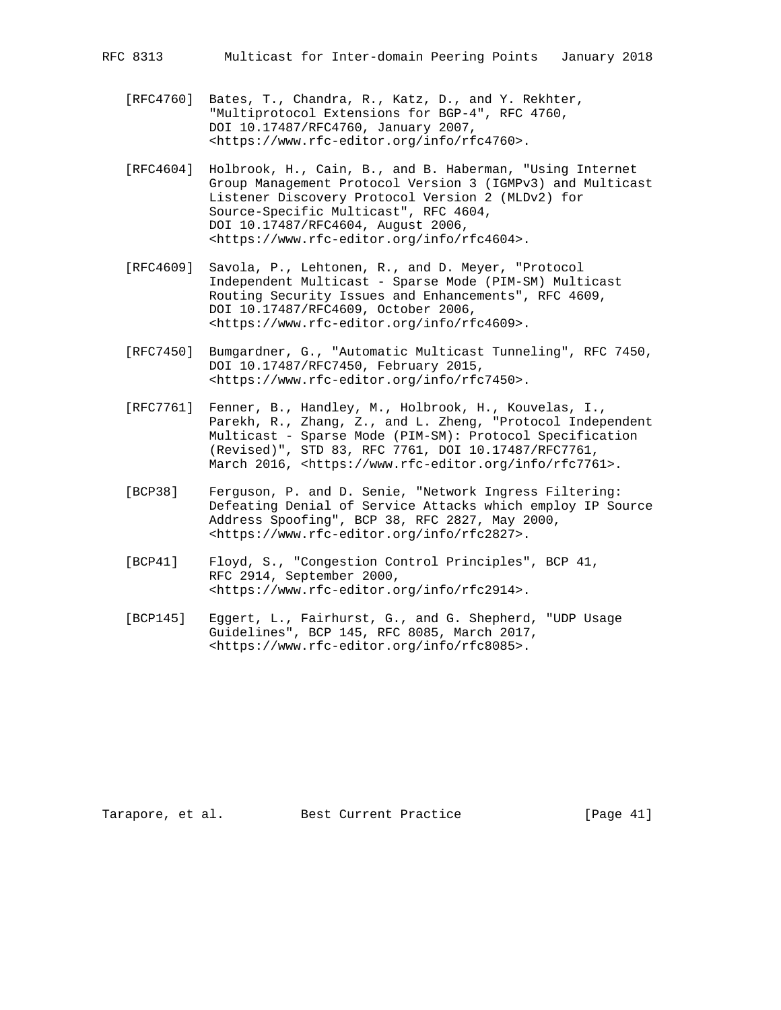RFC 8313 Multicast for Inter-domain Peering Points January 2018

- [RFC4760] Bates, T., Chandra, R., Katz, D., and Y. Rekhter, "Multiprotocol Extensions for BGP-4", RFC 4760, DOI 10.17487/RFC4760, January 2007, <https://www.rfc-editor.org/info/rfc4760>.
- [RFC4604] Holbrook, H., Cain, B., and B. Haberman, "Using Internet Group Management Protocol Version 3 (IGMPv3) and Multicast Listener Discovery Protocol Version 2 (MLDv2) for Source-Specific Multicast", RFC 4604, DOI 10.17487/RFC4604, August 2006, <https://www.rfc-editor.org/info/rfc4604>.
- [RFC4609] Savola, P., Lehtonen, R., and D. Meyer, "Protocol Independent Multicast - Sparse Mode (PIM-SM) Multicast Routing Security Issues and Enhancements", RFC 4609, DOI 10.17487/RFC4609, October 2006, <https://www.rfc-editor.org/info/rfc4609>.
- [RFC7450] Bumgardner, G., "Automatic Multicast Tunneling", RFC 7450, DOI 10.17487/RFC7450, February 2015, <https://www.rfc-editor.org/info/rfc7450>.
- [RFC7761] Fenner, B., Handley, M., Holbrook, H., Kouvelas, I., Parekh, R., Zhang, Z., and L. Zheng, "Protocol Independent Multicast - Sparse Mode (PIM-SM): Protocol Specification (Revised)", STD 83, RFC 7761, DOI 10.17487/RFC7761, March 2016, <https://www.rfc-editor.org/info/rfc7761>.
- [BCP38] Ferguson, P. and D. Senie, "Network Ingress Filtering: Defeating Denial of Service Attacks which employ IP Source Address Spoofing", BCP 38, RFC 2827, May 2000, <https://www.rfc-editor.org/info/rfc2827>.
- [BCP41] Floyd, S., "Congestion Control Principles", BCP 41, RFC 2914, September 2000, <https://www.rfc-editor.org/info/rfc2914>.
- [BCP145] Eggert, L., Fairhurst, G., and G. Shepherd, "UDP Usage Guidelines", BCP 145, RFC 8085, March 2017, <https://www.rfc-editor.org/info/rfc8085>.

Tarapore, et al. Best Current Practice [Page 41]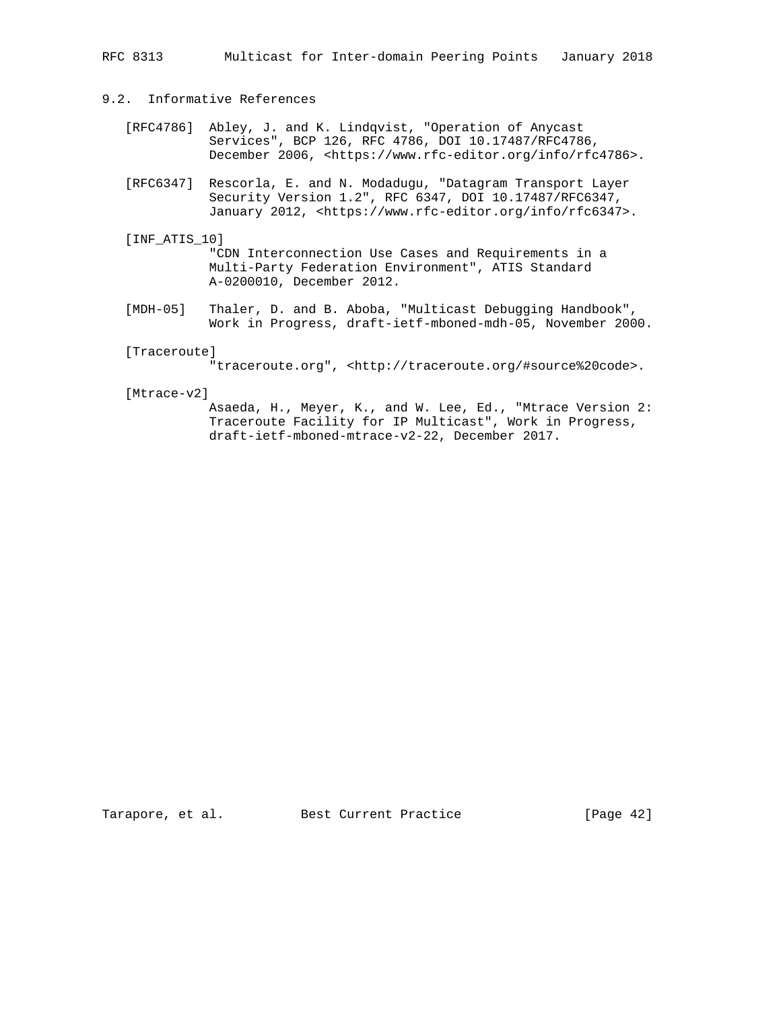RFC 8313 Multicast for Inter-domain Peering Points January 2018

# 9.2. Informative References

- [RFC4786] Abley, J. and K. Lindqvist, "Operation of Anycast Services", BCP 126, RFC 4786, DOI 10.17487/RFC4786, December 2006, <https://www.rfc-editor.org/info/rfc4786>.
- [RFC6347] Rescorla, E. and N. Modadugu, "Datagram Transport Layer Security Version 1.2", RFC 6347, DOI 10.17487/RFC6347, January 2012, <https://www.rfc-editor.org/info/rfc6347>.
- [INF\_ATIS\_10]

 "CDN Interconnection Use Cases and Requirements in a Multi-Party Federation Environment", ATIS Standard A-0200010, December 2012.

 [MDH-05] Thaler, D. and B. Aboba, "Multicast Debugging Handbook", Work in Progress, draft-ietf-mboned-mdh-05, November 2000.

### [Traceroute]

"traceroute.org", <http://traceroute.org/#source%20code>.

#### [Mtrace-v2]

 Asaeda, H., Meyer, K., and W. Lee, Ed., "Mtrace Version 2: Traceroute Facility for IP Multicast", Work in Progress, draft-ietf-mboned-mtrace-v2-22, December 2017.

Tarapore, et al. Best Current Practice [Page 42]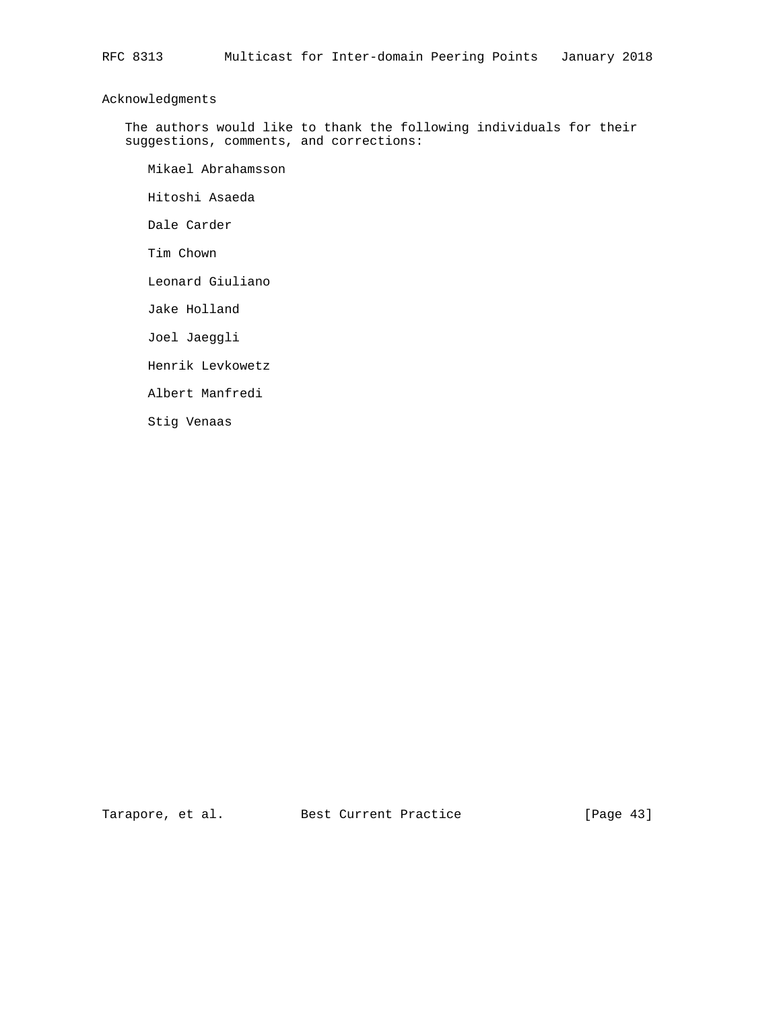# Acknowledgments

 The authors would like to thank the following individuals for their suggestions, comments, and corrections:

Mikael Abrahamsson

Hitoshi Asaeda

Dale Carder

Tim Chown

Leonard Giuliano

Jake Holland

Joel Jaeggli

Henrik Levkowetz

Albert Manfredi

Stig Venaas

Tarapore, et al. Best Current Practice [Page 43]